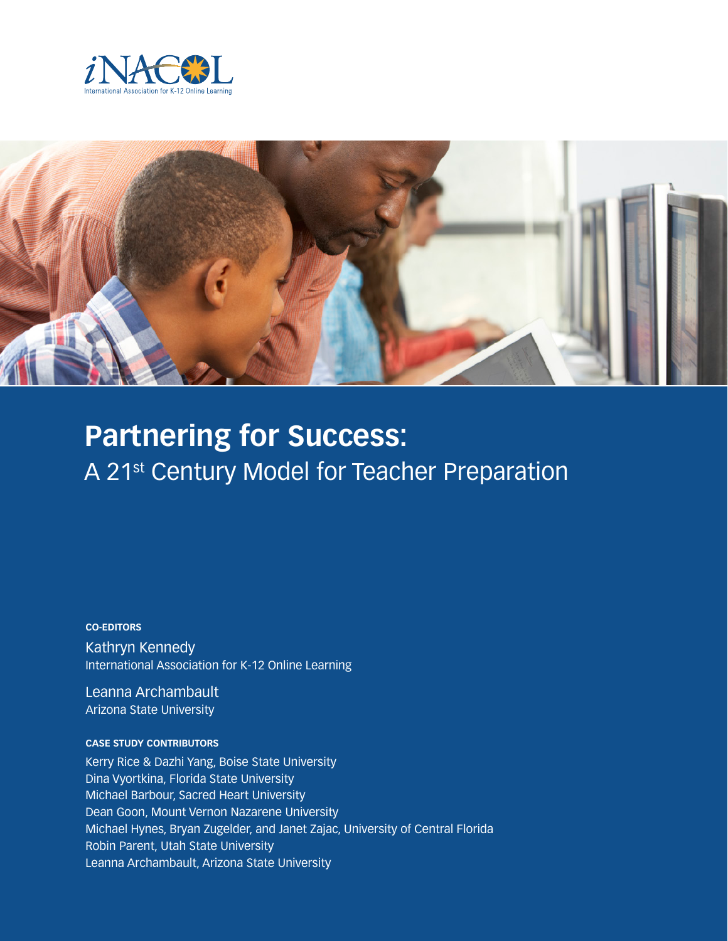



# **Partnering for Success:**  A 21<sup>st</sup> Century Model for Teacher Preparation

**CO-EDITORS** Kathryn Kennedy International Association for K-12 Online Learning

Leanna Archambault Arizona State University

#### **CASE STUDY CONTRIBUTORS**

Kerry Rice & Dazhi Yang, Boise State University Dina Vyortkina, Florida State University Michael Barbour, Sacred Heart University Dean Goon, Mount Vernon Nazarene University Michael Hynes, Bryan Zugelder, and Janet Zajac, University of Central Florida Robin Parent, Utah State University Leanna Archambault, Arizona State University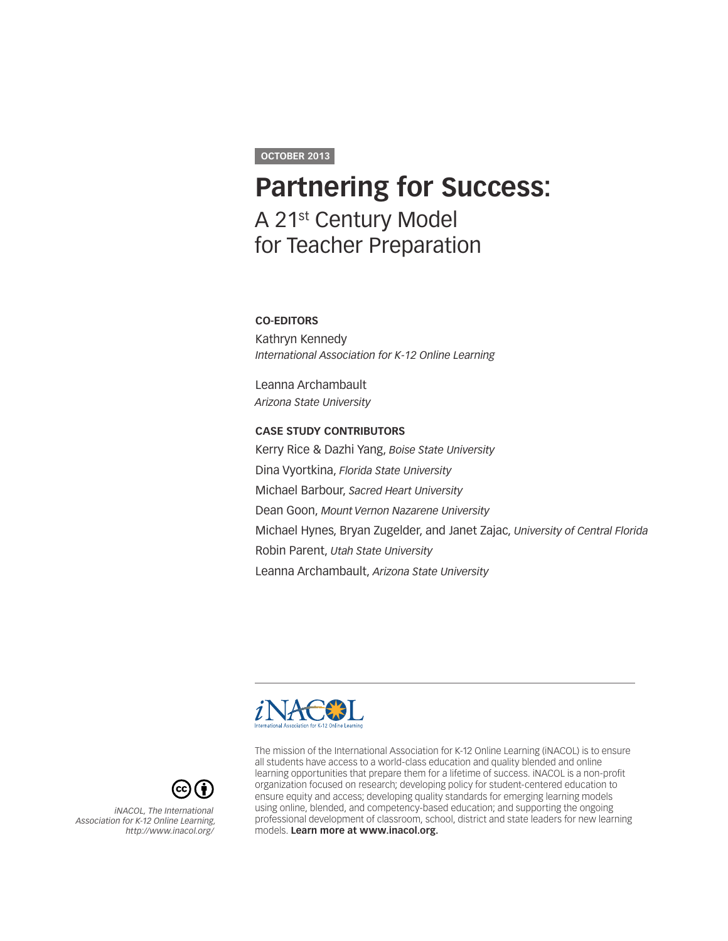#### **OCTOBER 2013**

## **Partnering for Success:** A 21st Century Model for Teacher Preparation

#### **CO-EDITORS**

Kathryn Kennedy *International Association for K-12 Online Learning* 

Leanna Archambault *Arizona State University* 

#### **CASE STUDY CONTRIBUTORS**

Kerry Rice & Dazhi Yang, *Boise State University* Dina Vyortkina, *Florida State University* Michael Barbour, *Sacred Heart University* Dean Goon, *Mount Vernon Nazarene University* Michael Hynes, Bryan Zugelder, and Janet Zajac, *University of Central Florida* Robin Parent, *Utah State University* Leanna Archambault, *Arizona State University*





*iNACOL, The International Association for K-12 Online Learning, <http://www.inacol.org/>* The mission of the International Association for K-12 Online Learning (iNACOL) is to ensure all students have access to a world-class education and quality blended and online learning opportunities that prepare them for a lifetime of success. iNACOL is a non-profit organization focused on research; developing policy for student-centered education to ensure equity and access; developing quality standards for emerging learning models using online, blended, and competency-based education; and supporting the ongoing professional development of classroom, school, district and state leaders for new learning models. **Learn more at www.inacol.org.**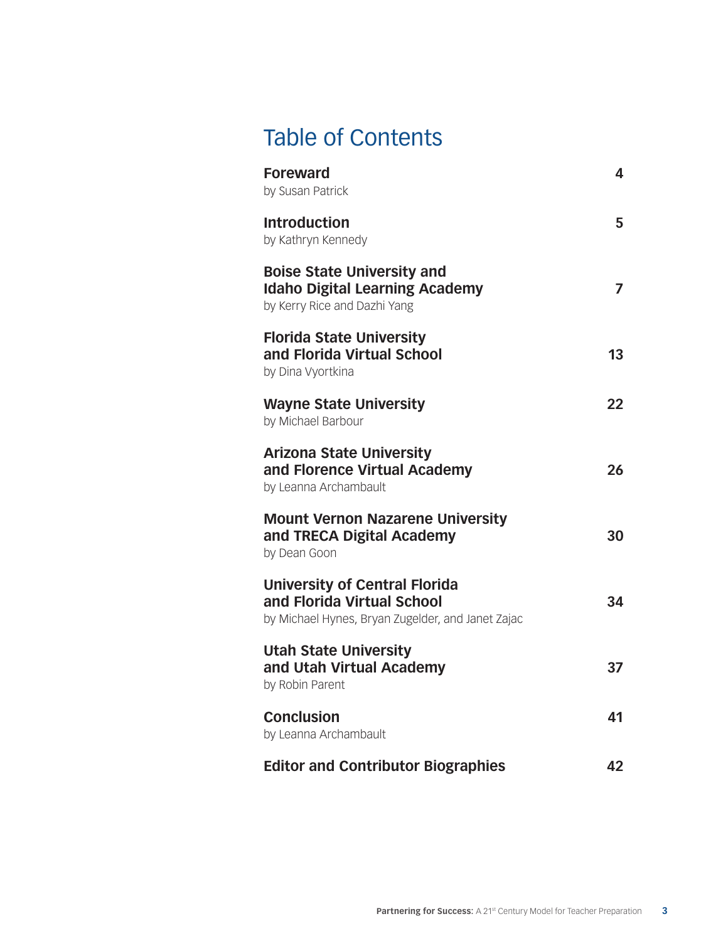## Table of Contents

| <b>Foreward</b><br>by Susan Patrick                                                                                     | 4  |
|-------------------------------------------------------------------------------------------------------------------------|----|
| <b>Introduction</b><br>by Kathryn Kennedy                                                                               | 5. |
| <b>Boise State University and</b><br><b>Idaho Digital Learning Academy</b><br>by Kerry Rice and Dazhi Yang              | 7  |
| <b>Florida State University</b><br>and Florida Virtual School<br>by Dina Vyortkina                                      | 13 |
| <b>Wayne State University</b><br>by Michael Barbour                                                                     | 22 |
| <b>Arizona State University</b><br>and Florence Virtual Academy<br>by Leanna Archambault                                | 26 |
| <b>Mount Vernon Nazarene University</b><br>and TRECA Digital Academy<br>by Dean Goon                                    | 30 |
| <b>University of Central Florida</b><br>and Florida Virtual School<br>by Michael Hynes, Bryan Zugelder, and Janet Zajac | 34 |
| <b>Utah State University</b><br>and Utah Virtual Academy<br>by Robin Parent                                             | 37 |
| <b>Conclusion</b><br>by Leanna Archambault                                                                              | 41 |
| <b>Editor and Contributor Biographies</b>                                                                               | 42 |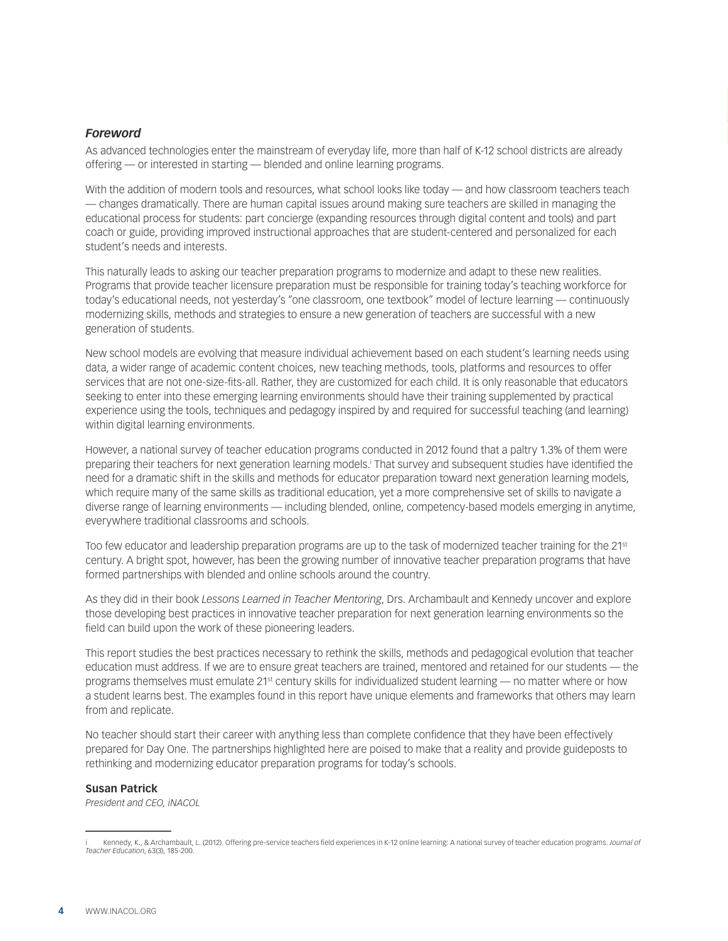#### <span id="page-3-0"></span>*Foreword*

As advanced technologies enter the mainstream of everyday life, more than half of K-12 school districts are already offering — or interested in starting — blended and online learning programs.

With the addition of modern tools and resources, what school looks like today — and how classroom teachers teach — changes dramatically. There are human capital issues around making sure teachers are skilled in managing the educational process for students: part concierge (expanding resources through digital content and tools) and part coach or guide, providing improved instructional approaches that are student-centered and personalized for each student's needs and interests.

This naturally leads to asking our teacher preparation programs to modernize and adapt to these new realities. Programs that provide teacher licensure preparation must be responsible for training today's teaching workforce for today's educational needs, not yesterday's "one classroom, one textbook" model of lecture learning — continuously modernizing skills, methods and strategies to ensure a new generation of teachers are successful with a new generation of students.

New school models are evolving that measure individual achievement based on each student's learning needs using data, a wider range of academic content choices, new teaching methods, tools, platforms and resources to offer services that are not one-size-fits-all. Rather, they are customized for each child. It is only reasonable that educators seeking to enter into these emerging learning environments should have their training supplemented by practical experience using the tools, techniques and pedagogy inspired by and required for successful teaching (and learning) within digital learning environments.

However, a national survey of teacher education programs conducted in 2012 found that a paltry 1.3% of them were preparing their teachers for next generation learning models.' That survey and subsequent studies have identified the need for a dramatic shift in the skills and methods for educator preparation toward next generation learning models, which require many of the same skills as traditional education, yet a more comprehensive set of skills to navigate a diverse range of learning environments — including blended, online, competency-based models emerging in anytime, everywhere traditional classrooms and schools.

Too few educator and leadership preparation programs are up to the task of modernized teacher training for the 21st century. A bright spot, however, has been the growing number of innovative teacher preparation programs that have formed partnerships with blended and online schools around the country.

As they did in their book *Lessons Learned in Teacher Mentoring*, Drs. Archambault and Kennedy uncover and explore those developing best practices in innovative teacher preparation for next generation learning environments so the field can build upon the work of these pioneering leaders.

This report studies the best practices necessary to rethink the skills, methods and pedagogical evolution that teacher education must address. If we are to ensure great teachers are trained, mentored and retained for our students — the programs themselves must emulate 21<sup>st</sup> century skills for individualized student learning — no matter where or how a student learns best. The examples found in this report have unique elements and frameworks that others may learn from and replicate.

No teacher should start their career with anything less than complete confidence that they have been effectively prepared for Day One. The partnerships highlighted here are poised to make that a reality and provide guideposts to rethinking and modernizing educator preparation programs for today's schools.

#### **Susan Patrick**

*President and CEO, iNACOL*

i Kennedy, K., & Archambault, L. (2012). Offering pre-service teachers field experiences in K-12 online learning: A national survey of teacher education programs. *Journal of Teacher Education*, 63(3), 185-200.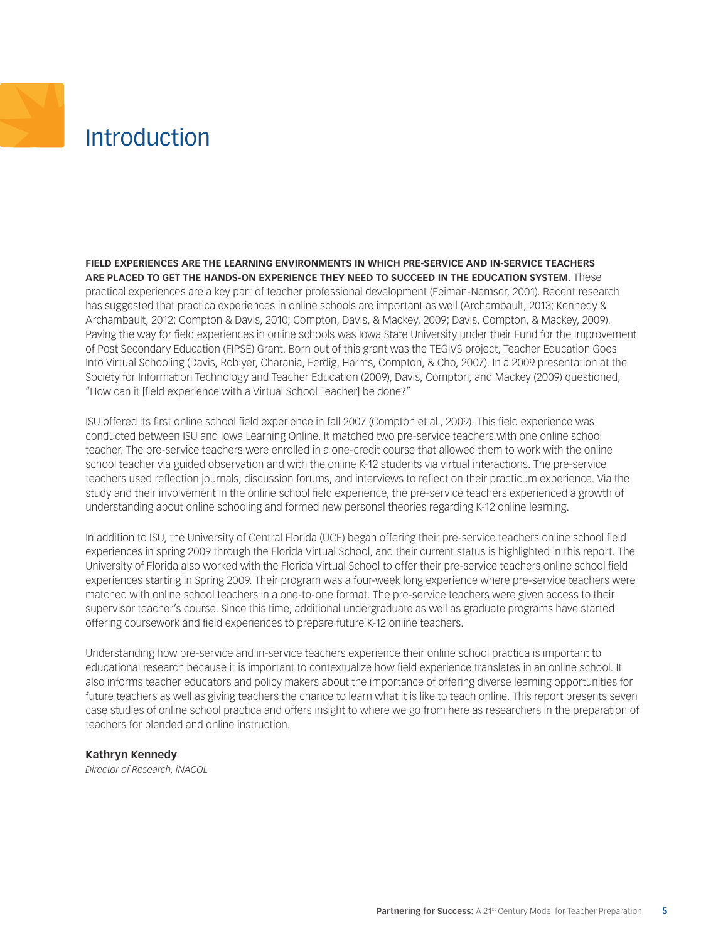## <span id="page-4-0"></span>**Introduction**

**FIELD EXPERIENCES ARE THE LEARNING ENVIRONMENTS IN WHICH PRE-SERVICE AND IN-SERVICE TEACHERS ARE PLACED TO GET THE HANDS-ON EXPERIENCE THEY NEED TO SUCCEED IN THE EDUCATION SYSTEM.** These practical experiences are a key part of teacher professional development (Feiman-Nemser, 2001). Recent research has suggested that practica experiences in online schools are important as well (Archambault, 2013; Kennedy & Archambault, 2012; Compton & Davis, 2010; Compton, Davis, & Mackey, 2009; Davis, Compton, & Mackey, 2009). Paving the way for field experiences in online schools was Iowa State University under their Fund for the Improvement of Post Secondary Education (FIPSE) Grant. Born out of this grant was the TEGIVS project, Teacher Education Goes Into Virtual Schooling (Davis, Roblyer, Charania, Ferdig, Harms, Compton, & Cho, 2007). In a 2009 presentation at the Society for Information Technology and Teacher Education (2009), Davis, Compton, and Mackey (2009) questioned, "How can it [field experience with a Virtual School Teacher] be done?"

ISU offered its first online school field experience in fall 2007 (Compton et al., 2009). This field experience was conducted between ISU and Iowa Learning Online. It matched two pre-service teachers with one online school teacher. The pre-service teachers were enrolled in a one-credit course that allowed them to work with the online school teacher via guided observation and with the online K-12 students via virtual interactions. The pre-service teachers used reflection journals, discussion forums, and interviews to reflect on their practicum experience. Via the study and their involvement in the online school field experience, the pre-service teachers experienced a growth of understanding about online schooling and formed new personal theories regarding K-12 online learning.

In addition to ISU, the University of Central Florida (UCF) began offering their pre-service teachers online school field experiences in spring 2009 through the Florida Virtual School, and their current status is highlighted in this report. The University of Florida also worked with the Florida Virtual School to offer their pre-service teachers online school field experiences starting in Spring 2009. Their program was a four-week long experience where pre-service teachers were matched with online school teachers in a one-to-one format. The pre-service teachers were given access to their supervisor teacher's course. Since this time, additional undergraduate as well as graduate programs have started offering coursework and field experiences to prepare future K-12 online teachers.

Understanding how pre-service and in-service teachers experience their online school practica is important to educational research because it is important to contextualize how field experience translates in an online school. It also informs teacher educators and policy makers about the importance of offering diverse learning opportunities for future teachers as well as giving teachers the chance to learn what it is like to teach online. This report presents seven case studies of online school practica and offers insight to where we go from here as researchers in the preparation of teachers for blended and online instruction.

#### **Kathryn Kennedy**

*Director of Research, iNACOL*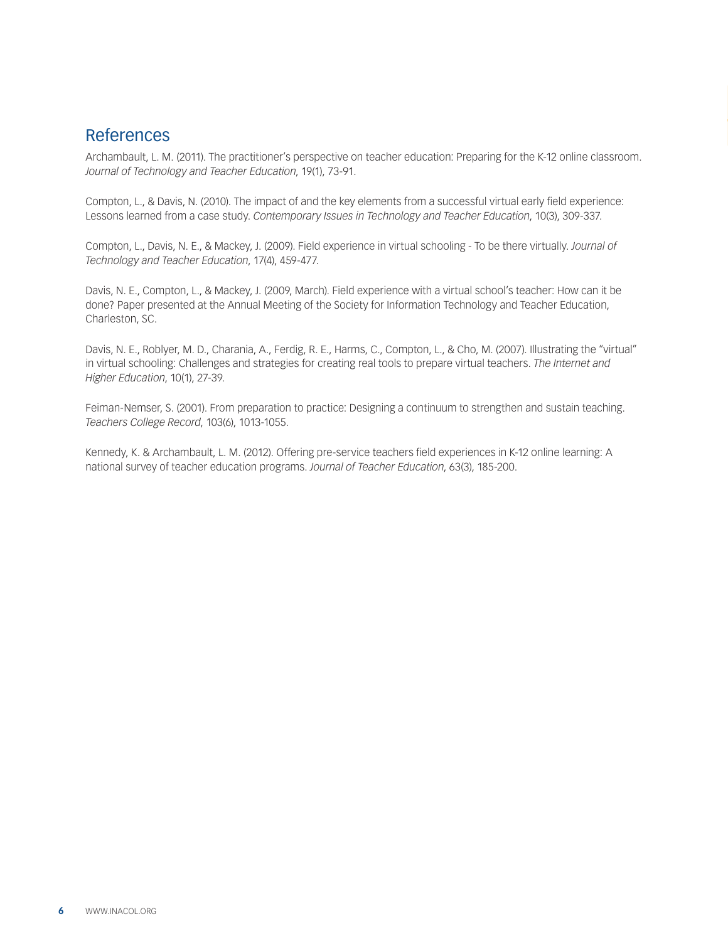### References

Archambault, L. M. (2011). The practitioner's perspective on teacher education: Preparing for the K-12 online classroom. *Journal of Technology and Teacher Education*, 19(1), 73-91.

Compton, L., & Davis, N. (2010). The impact of and the key elements from a successful virtual early field experience: Lessons learned from a case study. *Contemporary Issues in Technology and Teacher Education*, 10(3), 309-337.

Compton, L., Davis, N. E., & Mackey, J. (2009). Field experience in virtual schooling - To be there virtually. *Journal of Technology and Teacher Education*, 17(4), 459-477.

Davis, N. E., Compton, L., & Mackey, J. (2009, March). Field experience with a virtual school's teacher: How can it be done? Paper presented at the Annual Meeting of the Society for Information Technology and Teacher Education, Charleston, SC.

Davis, N. E., Roblyer, M. D., Charania, A., Ferdig, R. E., Harms, C., Compton, L., & Cho, M. (2007). Illustrating the "virtual" in virtual schooling: Challenges and strategies for creating real tools to prepare virtual teachers. *The Internet and Higher Education*, 10(1), 27-39.

Feiman-Nemser, S. (2001). From preparation to practice: Designing a continuum to strengthen and sustain teaching. *Teachers College Record*, 103(6), 1013-1055.

Kennedy, K. & Archambault, L. M. (2012). Offering pre-service teachers field experiences in K-12 online learning: A national survey of teacher education programs. *Journal of Teacher Education*, 63(3), 185-200.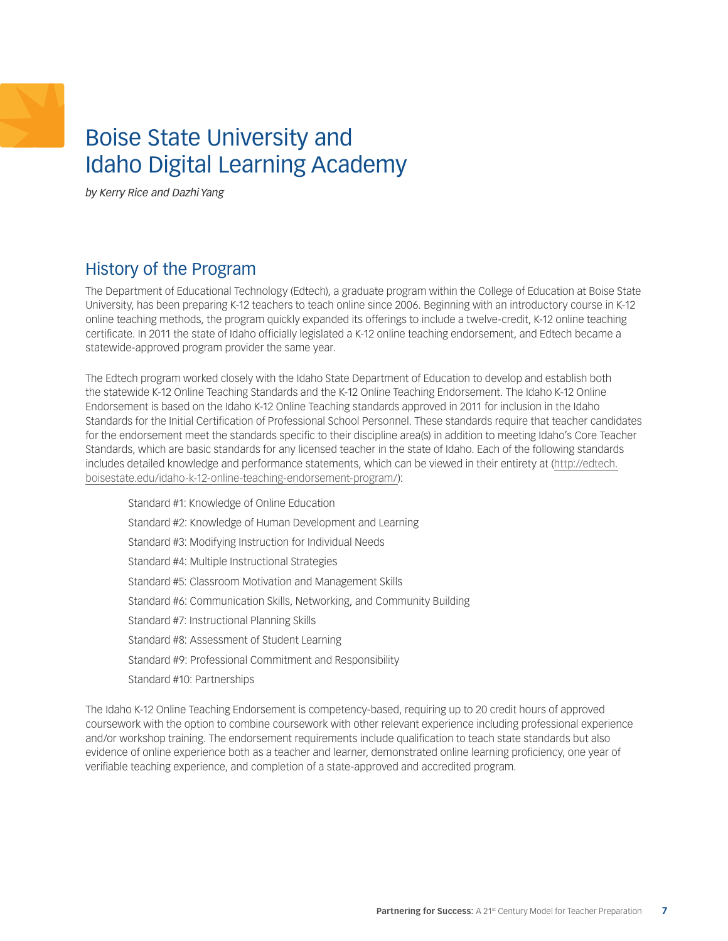## <span id="page-6-0"></span>Boise State University and Idaho Digital Learning Academy

*by Kerry Rice and Dazhi Yang* 

## History of the Program

The Department of Educational Technology (Edtech), a graduate program within the College of Education at Boise State University, has been preparing K-12 teachers to teach online since 2006. Beginning with an introductory course in K-12 online teaching methods, the program quickly expanded its offerings to include a twelve-credit, K-12 online teaching certificate. In 2011 the state of Idaho officially legislated a K-12 online teaching endorsement, and Edtech became a statewide-approved program provider the same year.

The Edtech program worked closely with the Idaho State Department of Education to develop and establish both the statewide K-12 Online Teaching Standards and the K-12 Online Teaching Endorsement. The Idaho K-12 Online Endorsement is based on the Idaho K-12 Online Teaching standards approved in 2011 for inclusion in the Idaho Standards for the Initial Certification of Professional School Personnel. These standards require that teacher candidates for the endorsement meet the standards specific to their discipline area(s) in addition to meeting Idaho's Core Teacher Standards, which are basic standards for any licensed teacher in the state of Idaho. Each of the following standards includes detailed knowledge and performance statements, which can be viewed in their entirety at [\(http://edtech.](http://edtech.boisestate.edu/idaho-k-12-online-teaching-endorsement-program/) [boisestate.edu/idaho-k-12-online-teaching-endorsement-program/\)](http://edtech.boisestate.edu/idaho-k-12-online-teaching-endorsement-program/):

Standard #1: Knowledge of Online Education Standard #2: Knowledge of Human Development and Learning Standard #3: Modifying Instruction for Individual Needs Standard #4: Multiple Instructional Strategies Standard #5: Classroom Motivation and Management Skills Standard #6: Communication Skills, Networking, and Community Building Standard #7: Instructional Planning Skills Standard #8: Assessment of Student Learning Standard #9: Professional Commitment and Responsibility Standard #10: Partnerships

The Idaho K-12 Online Teaching Endorsement is competency-based, requiring up to 20 credit hours of approved coursework with the option to combine coursework with other relevant experience including professional experience and/or workshop training. The endorsement requirements include qualification to teach state standards but also evidence of online experience both as a teacher and learner, demonstrated online learning proficiency, one year of verifiable teaching experience, and completion of a state-approved and accredited program.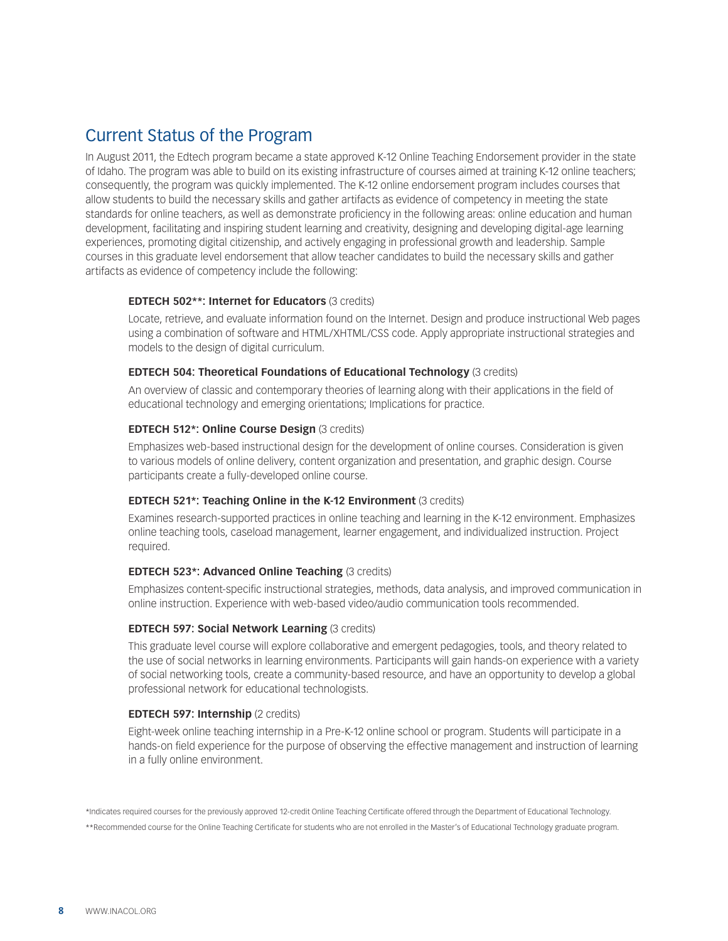## Current Status of the Program

In August 2011, the Edtech program became a state approved K-12 Online Teaching Endorsement provider in the state of Idaho. The program was able to build on its existing infrastructure of courses aimed at training K-12 online teachers; consequently, the program was quickly implemented. The K-12 online endorsement program includes courses that allow students to build the necessary skills and gather artifacts as evidence of competency in meeting the state standards for online teachers, as well as demonstrate proficiency in the following areas: online education and human development, facilitating and inspiring student learning and creativity, designing and developing digital-age learning experiences, promoting digital citizenship, and actively engaging in professional growth and leadership. Sample courses in this graduate level endorsement that allow teacher candidates to build the necessary skills and gather artifacts as evidence of competency include the following:

#### **EDTECH 502\*\*: Internet for Educators** (3 credits)

Locate, retrieve, and evaluate information found on the Internet. Design and produce instructional Web pages using a combination of software and HTML/XHTML/CSS code. Apply appropriate instructional strategies and models to the design of digital curriculum.

#### **EDTECH 504: Theoretical Foundations of Educational Technology** (3 credits)

An overview of classic and contemporary theories of learning along with their applications in the field of educational technology and emerging orientations; Implications for practice.

#### **EDTECH 512\*: Online Course Design** (3 credits)

Emphasizes web-based instructional design for the development of online courses. Consideration is given to various models of online delivery, content organization and presentation, and graphic design. Course participants create a fully-developed online course.

#### **EDTECH 521\*: Teaching Online in the K-12 Environment** (3 credits)

Examines research-supported practices in online teaching and learning in the K-12 environment. Emphasizes online teaching tools, caseload management, learner engagement, and individualized instruction. Project required.

#### **EDTECH 523\*: Advanced Online Teaching** (3 credits)

Emphasizes content-specific instructional strategies, methods, data analysis, and improved communication in online instruction. Experience with web-based video/audio communication tools recommended.

#### **EDTECH 597: Social Network Learning (3 credits)**

This graduate level course will explore collaborative and emergent pedagogies, tools, and theory related to the use of social networks in learning environments. Participants will gain hands-on experience with a variety of social networking tools, create a community-based resource, and have an opportunity to develop a global professional network for educational technologists.

#### **EDTECH 597: Internship (2 credits)**

Eight-week online teaching internship in a Pre-K-12 online school or program. Students will participate in a hands-on field experience for the purpose of observing the effective management and instruction of learning in a fully online environment.

\*Indicates required courses for the previously approved 12-credit Online Teaching Certificate offered through the Department of Educational Technology. \*\*Recommended course for the Online Teaching Certificate for students who are not enrolled in the Master's of Educational Technology graduate program.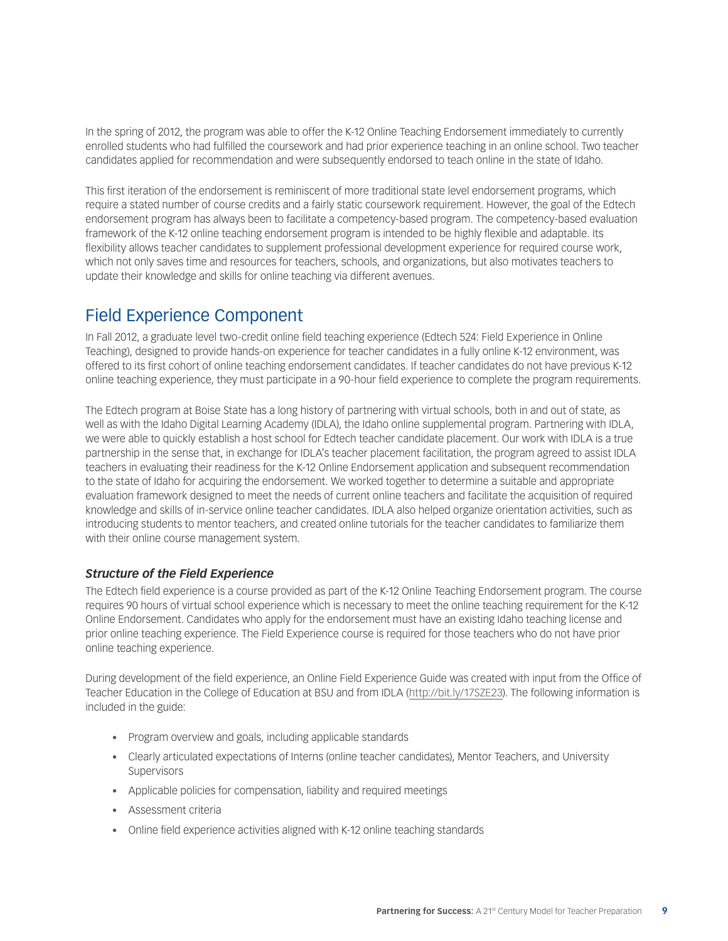In the spring of 2012, the program was able to offer the K-12 Online Teaching Endorsement immediately to currently enrolled students who had fulfilled the coursework and had prior experience teaching in an online school. Two teacher candidates applied for recommendation and were subsequently endorsed to teach online in the state of Idaho.

This first iteration of the endorsement is reminiscent of more traditional state level endorsement programs, which require a stated number of course credits and a fairly static coursework requirement. However, the goal of the Edtech endorsement program has always been to facilitate a competency-based program. The competency-based evaluation framework of the K-12 online teaching endorsement program is intended to be highly flexible and adaptable. Its flexibility allows teacher candidates to supplement professional development experience for required course work, which not only saves time and resources for teachers, schools, and organizations, but also motivates teachers to update their knowledge and skills for online teaching via different avenues.

## Field Experience Component

In Fall 2012, a graduate level two-credit online field teaching experience (Edtech 524: Field Experience in Online Teaching), designed to provide hands-on experience for teacher candidates in a fully online K-12 environment, was offered to its first cohort of online teaching endorsement candidates. If teacher candidates do not have previous K-12 online teaching experience, they must participate in a 90-hour field experience to complete the program requirements.

The Edtech program at Boise State has a long history of partnering with virtual schools, both in and out of state, as well as with the Idaho Digital Learning Academy (IDLA), the Idaho online supplemental program. Partnering with IDLA, we were able to quickly establish a host school for Edtech teacher candidate placement. Our work with IDLA is a true partnership in the sense that, in exchange for IDLA's teacher placement facilitation, the program agreed to assist IDLA teachers in evaluating their readiness for the K-12 Online Endorsement application and subsequent recommendation to the state of Idaho for acquiring the endorsement. We worked together to determine a suitable and appropriate evaluation framework designed to meet the needs of current online teachers and facilitate the acquisition of required knowledge and skills of in-service online teacher candidates. IDLA also helped organize orientation activities, such as introducing students to mentor teachers, and created online tutorials for the teacher candidates to familiarize them with their online course management system.

#### *Structure of the Field Experience*

The Edtech field experience is a course provided as part of the K-12 Online Teaching Endorsement program. The course requires 90 hours of virtual school experience which is necessary to meet the online teaching requirement for the K-12 Online Endorsement. Candidates who apply for the endorsement must have an existing Idaho teaching license and prior online teaching experience. The Field Experience course is required for those teachers who do not have prior online teaching experience.

During development of the field experience, an Online Field Experience Guide was created with input from the Office of Teacher Education in the College of Education at BSU and from IDLA [\(http://bit.ly/17SZE23\)](http://bit.ly/17SZE23). The following information is included in the guide:

- Program overview and goals, including applicable standards
- • Clearly articulated expectations of Interns (online teacher candidates), Mentor Teachers, and University Supervisors
- • Applicable policies for compensation, liability and required meetings
- • Assessment criteria
- Online field experience activities aligned with K-12 online teaching standards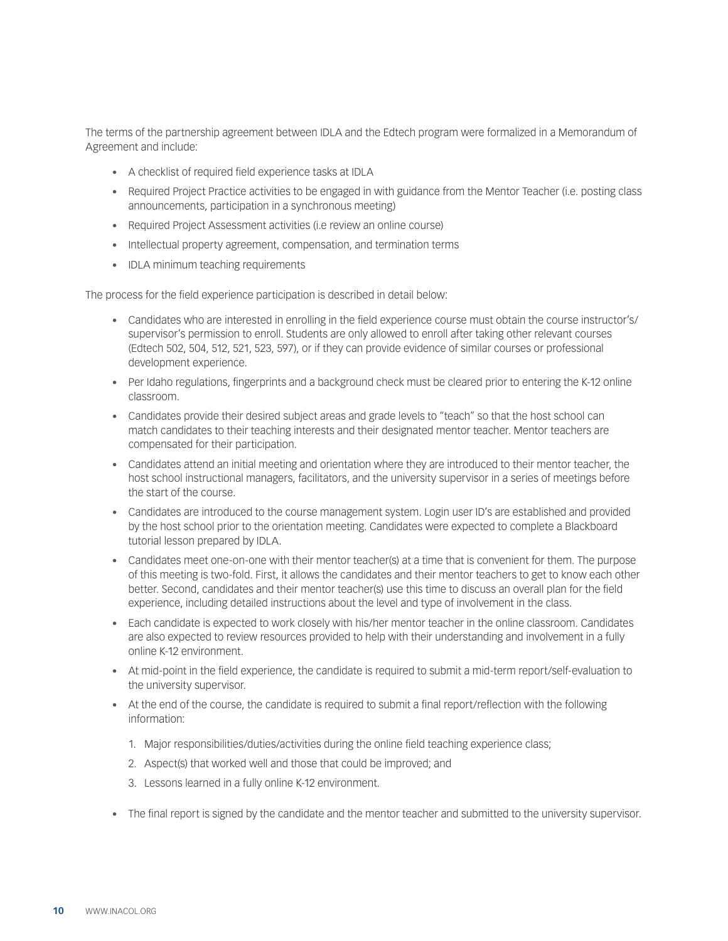The terms of the partnership agreement between IDLA and the Edtech program were formalized in a Memorandum of Agreement and include:

- • A checklist of required field experience tasks at IDLA
- Required Project Practice activities to be engaged in with guidance from the Mentor Teacher (i.e. posting class announcements, participation in a synchronous meeting)
- Required Project Assessment activities (i.e review an online course)
- Intellectual property agreement, compensation, and termination terms
- • IDLA minimum teaching requirements

The process for the field experience participation is described in detail below:

- • Candidates who are interested in enrolling in the field experience course must obtain the course instructor's/ supervisor's permission to enroll. Students are only allowed to enroll after taking other relevant courses (Edtech 502, 504, 512, 521, 523, 597), or if they can provide evidence of similar courses or professional development experience.
- • Per Idaho regulations, fingerprints and a background check must be cleared prior to entering the K-12 online classroom.
- Candidates provide their desired subject areas and grade levels to "teach" so that the host school can match candidates to their teaching interests and their designated mentor teacher. Mentor teachers are compensated for their participation.
- • Candidates attend an initial meeting and orientation where they are introduced to their mentor teacher, the host school instructional managers, facilitators, and the university supervisor in a series of meetings before the start of the course.
- Candidates are introduced to the course management system. Login user ID's are established and provided by the host school prior to the orientation meeting. Candidates were expected to complete a Blackboard tutorial lesson prepared by IDLA.
- • Candidates meet one-on-one with their mentor teacher(s) at a time that is convenient for them. The purpose of this meeting is two-fold. First, it allows the candidates and their mentor teachers to get to know each other better. Second, candidates and their mentor teacher(s) use this time to discuss an overall plan for the field experience, including detailed instructions about the level and type of involvement in the class.
- • Each candidate is expected to work closely with his/her mentor teacher in the online classroom. Candidates are also expected to review resources provided to help with their understanding and involvement in a fully online K-12 environment.
- • At mid-point in the field experience, the candidate is required to submit a mid-term report/self-evaluation to the university supervisor.
- • At the end of the course, the candidate is required to submit a final report/reflection with the following information:
	- 1. Major responsibilities/duties/activities during the online field teaching experience class;
	- 2. Aspect(s) that worked well and those that could be improved; and
	- 3. Lessons learned in a fully online K-12 environment.
- • The final report is signed by the candidate and the mentor teacher and submitted to the university supervisor.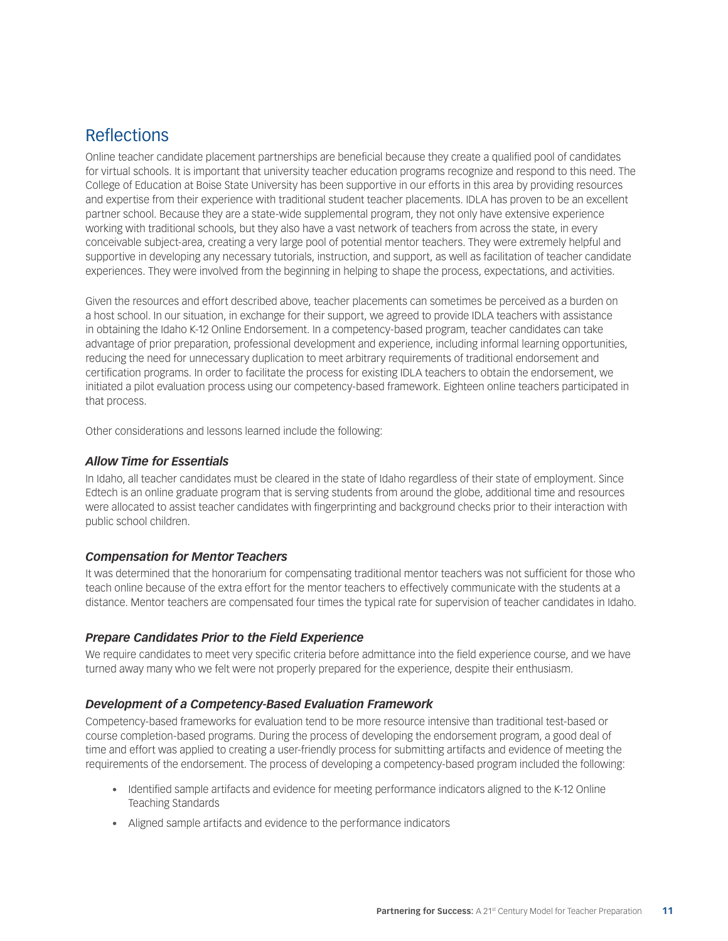## Reflections

Online teacher candidate placement partnerships are beneficial because they create a qualified pool of candidates for virtual schools. It is important that university teacher education programs recognize and respond to this need. The College of Education at Boise State University has been supportive in our efforts in this area by providing resources and expertise from their experience with traditional student teacher placements. IDLA has proven to be an excellent partner school. Because they are a state-wide supplemental program, they not only have extensive experience working with traditional schools, but they also have a vast network of teachers from across the state, in every conceivable subject-area, creating a very large pool of potential mentor teachers. They were extremely helpful and supportive in developing any necessary tutorials, instruction, and support, as well as facilitation of teacher candidate experiences. They were involved from the beginning in helping to shape the process, expectations, and activities.

Given the resources and effort described above, teacher placements can sometimes be perceived as a burden on a host school. In our situation, in exchange for their support, we agreed to provide IDLA teachers with assistance in obtaining the Idaho K-12 Online Endorsement. In a competency-based program, teacher candidates can take advantage of prior preparation, professional development and experience, including informal learning opportunities, reducing the need for unnecessary duplication to meet arbitrary requirements of traditional endorsement and certification programs. In order to facilitate the process for existing IDLA teachers to obtain the endorsement, we initiated a pilot evaluation process using our competency-based framework. Eighteen online teachers participated in that process.

Other considerations and lessons learned include the following:

#### *Allow Time for Essentials*

In Idaho, all teacher candidates must be cleared in the state of Idaho regardless of their state of employment. Since Edtech is an online graduate program that is serving students from around the globe, additional time and resources were allocated to assist teacher candidates with fingerprinting and background checks prior to their interaction with public school children.

#### *Compensation for Mentor Teachers*

It was determined that the honorarium for compensating traditional mentor teachers was not sufficient for those who teach online because of the extra effort for the mentor teachers to effectively communicate with the students at a distance. Mentor teachers are compensated four times the typical rate for supervision of teacher candidates in Idaho.

#### *Prepare Candidates Prior to the Field Experience*

We require candidates to meet very specific criteria before admittance into the field experience course, and we have turned away many who we felt were not properly prepared for the experience, despite their enthusiasm.

#### *Development of a Competency-Based Evaluation Framework*

Competency-based frameworks for evaluation tend to be more resource intensive than traditional test-based or course completion-based programs. During the process of developing the endorsement program, a good deal of time and effort was applied to creating a user-friendly process for submitting artifacts and evidence of meeting the requirements of the endorsement. The process of developing a competency-based program included the following:

- Identified sample artifacts and evidence for meeting performance indicators aligned to the K-12 Online Teaching Standards
- Aligned sample artifacts and evidence to the performance indicators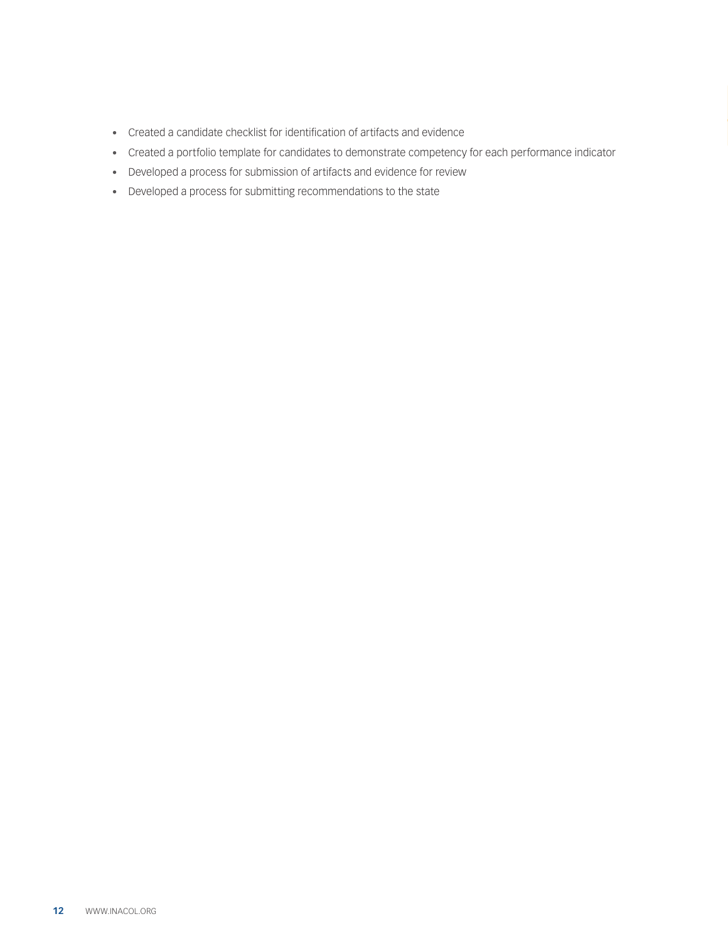- • Created a candidate checklist for identification of artifacts and evidence
- • Created a portfolio template for candidates to demonstrate competency for each performance indicator
- • Developed a process for submission of artifacts and evidence for review
- • Developed a process for submitting recommendations to the state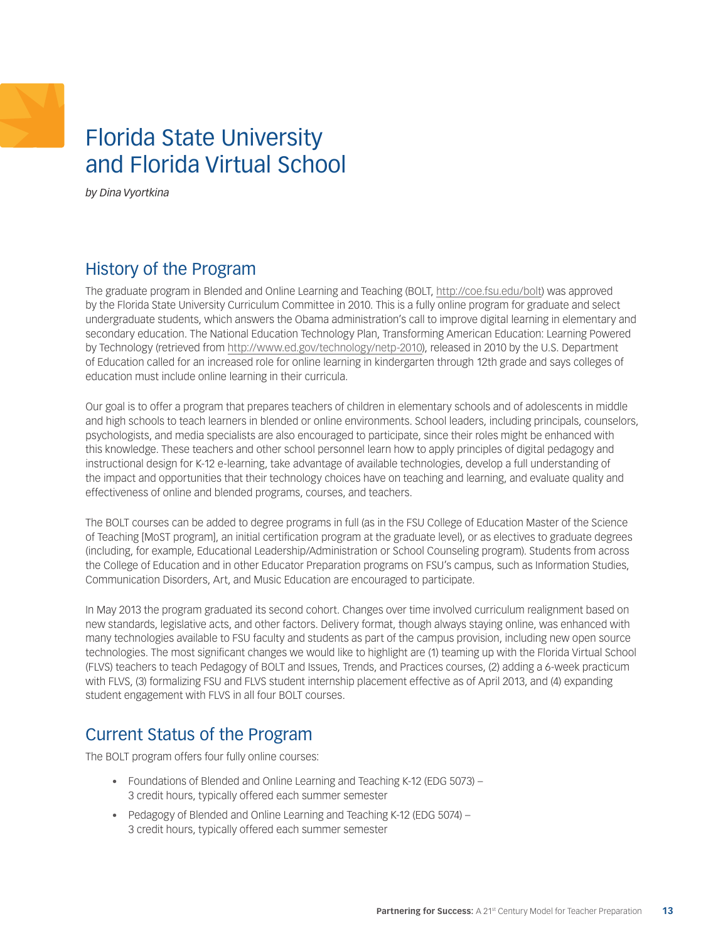## <span id="page-12-0"></span>Florida State University and Florida Virtual School

*by Dina Vyortkina* 

## History of the Program

The graduate program in Blended and Online Learning and Teaching (BOLT, [http://coe.fsu.edu/bolt\)](http://coe.fsu.edu/bolt) was approved by the Florida State University Curriculum Committee in 2010. This is a fully online program for graduate and select undergraduate students, which answers the Obama administration's call to improve digital learning in elementary and secondary education. The National Education Technology Plan, Transforming American Education: Learning Powered by Technology (retrieved from <http://www.ed.gov/technology/netp-2010>), released in 2010 by the U.S. Department of Education called for an increased role for online learning in kindergarten through 12th grade and says colleges of education must include online learning in their curricula.

Our goal is to offer a program that prepares teachers of children in elementary schools and of adolescents in middle and high schools to teach learners in blended or online environments. School leaders, including principals, counselors, psychologists, and media specialists are also encouraged to participate, since their roles might be enhanced with this knowledge. These teachers and other school personnel learn how to apply principles of digital pedagogy and instructional design for K-12 e-learning, take advantage of available technologies, develop a full understanding of the impact and opportunities that their technology choices have on teaching and learning, and evaluate quality and effectiveness of online and blended programs, courses, and teachers.

The BOLT courses can be added to degree programs in full (as in the FSU College of Education Master of the Science of Teaching [MoST program], an initial certification program at the graduate level), or as electives to graduate degrees (including, for example, Educational Leadership/Administration or School Counseling program). Students from across the College of Education and in other Educator Preparation programs on FSU's campus, such as Information Studies, Communication Disorders, Art, and Music Education are encouraged to participate.

In May 2013 the program graduated its second cohort. Changes over time involved curriculum realignment based on new standards, legislative acts, and other factors. Delivery format, though always staying online, was enhanced with many technologies available to FSU faculty and students as part of the campus provision, including new open source technologies. The most significant changes we would like to highlight are (1) teaming up with the Florida Virtual School (FLVS) teachers to teach Pedagogy of BOLT and Issues, Trends, and Practices courses, (2) adding a 6-week practicum with FLVS, (3) formalizing FSU and FLVS student internship placement effective as of April 2013, and (4) expanding student engagement with FLVS in all four BOLT courses.

## Current Status of the Program

The BOLT program offers four fully online courses:

- Foundations of Blended and Online Learning and Teaching K-12 (EDG 5073) 3 credit hours, typically offered each summer semester
- Pedagogy of Blended and Online Learning and Teaching K-12 (EDG 5074) 3 credit hours, typically offered each summer semester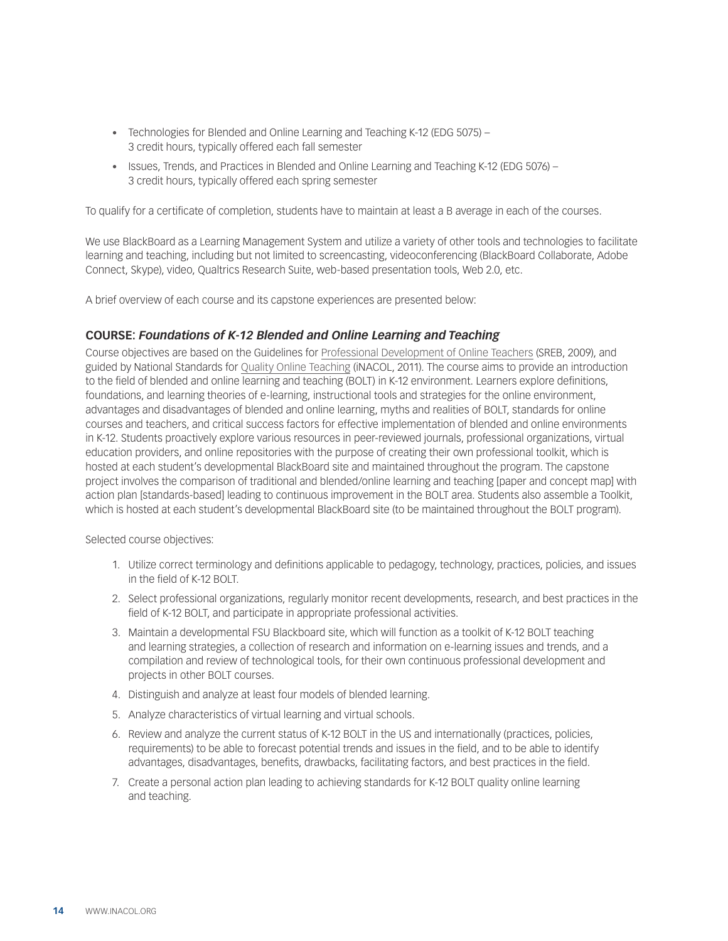- Technologies for Blended and Online Learning and Teaching K-12 (EDG 5075) 3 credit hours, typically offered each fall semester
- Issues, Trends, and Practices in Blended and Online Learning and Teaching K-12 (EDG 5076) 3 credit hours, typically offered each spring semester

To qualify for a certificate of completion, students have to maintain at least a B average in each of the courses.

We use BlackBoard as a Learning Management System and utilize a variety of other tools and technologies to facilitate learning and teaching, including but not limited to screencasting, videoconferencing (BlackBoard Collaborate, Adobe Connect, Skype), video, Qualtrics Research Suite, web-based presentation tools, Web 2.0, etc.

A brief overview of each course and its capstone experiences are presented below:

#### **COURSE:** *Foundations of K-12 Blended and Online Learning and Teaching*

Course objectives are based on th[e](http://publications.sreb.org/2009/09T01_Guide_profdev_online_teach.pdf) [Guidelines for Professional Development of Online Teachers \(SREB, 2009](http://publications.sreb.org/2009/09T01_Guide_profdev_online_teach.pdf)), and guided b[y](http://www.inacol.org/research/nationalstandards/iNACOL_TeachingStandardsv2.pdf) [National Standards for Quality Online Teaching](http://www.inacol.org/research/nationalstandards/iNACOL_TeachingStandardsv2.pdf) (iNACOL, 2011). The course aims to provide an introduction to the field of blended and online learning and teaching (BOLT) in K-12 environment. Learners explore definitions, foundations, and learning theories of e-learning, instructional tools and strategies for the online environment, advantages and disadvantages of blended and online learning, myths and realities of BOLT, standards for online courses and teachers, and critical success factors for effective implementation of blended and online environments in K-12. Students proactively explore various resources in peer-reviewed journals, professional organizations, virtual education providers, and online repositories with the purpose of creating their own professional toolkit, which is hosted at each student's developmental BlackBoard site and maintained throughout the program. The capstone project involves the comparison of traditional and blended/online learning and teaching [paper and concept map] with action plan [standards-based] leading to continuous improvement in the BOLT area. Students also assemble a Toolkit, which is hosted at each student's developmental BlackBoard site (to be maintained throughout the BOLT program).

- 1. Utilize correct terminology and definitions applicable to pedagogy, technology, practices, policies, and issues in the field of K-12 BOLT.
- 2. Select professional organizations, regularly monitor recent developments, research, and best practices in the field of K-12 BOLT, and participate in appropriate professional activities.
- 3. Maintain a developmental FSU Blackboard site, which will function as a toolkit of K-12 BOLT teaching and learning strategies, a collection of research and information on e-learning issues and trends, and a compilation and review of technological tools, for their own continuous professional development and projects in other BOLT courses.
- 4. Distinguish and analyze at least four models of blended learning.
- 5. Analyze characteristics of virtual learning and virtual schools.
- 6. Review and analyze the current status of K-12 BOLT in the US and internationally (practices, policies, requirements) to be able to forecast potential trends and issues in the field, and to be able to identify advantages, disadvantages, benefits, drawbacks, facilitating factors, and best practices in the field.
- 7. Create a personal action plan leading to achieving standards for K-12 BOLT quality online learning and teaching.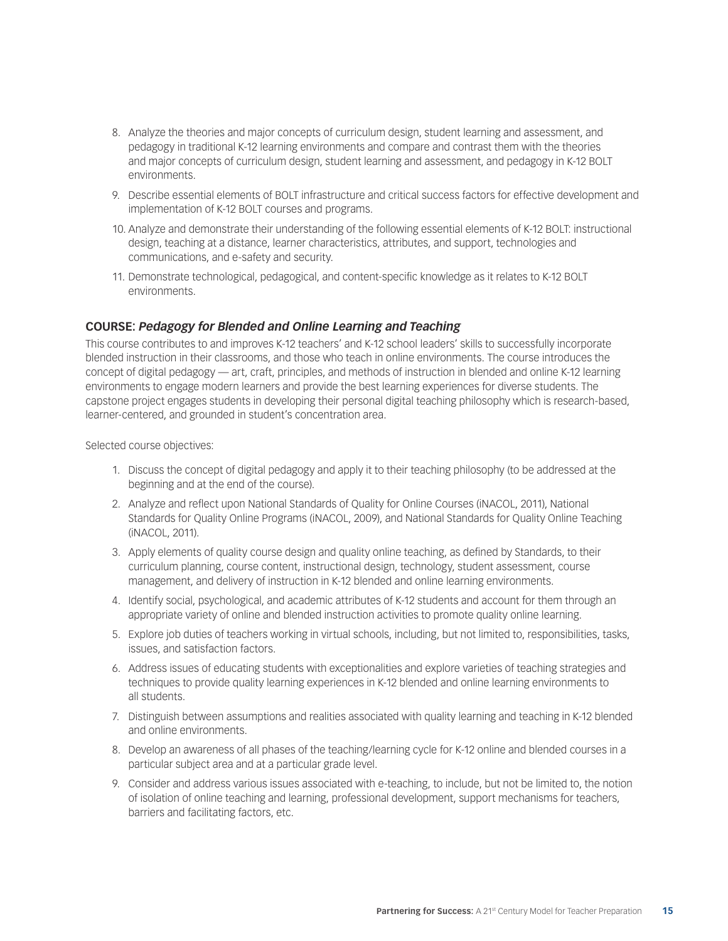- 8. Analyze the theories and major concepts of curriculum design, student learning and assessment, and pedagogy in traditional K-12 learning environments and compare and contrast them with the theories and major concepts of curriculum design, student learning and assessment, and pedagogy in K-12 BOLT environments.
- 9. Describe essential elements of BOLT infrastructure and critical success factors for effective development and implementation of K-12 BOLT courses and programs.
- 10. Analyze and demonstrate their understanding of the following essential elements of K-12 BOLT: instructional design, teaching at a distance, learner characteristics, attributes, and support, technologies and communications, and e-safety and security.
- 11. Demonstrate technological, pedagogical, and content-specific knowledge as it relates to K-12 BOLT environments.

#### **COURSE:** *Pedagogy for Blended and Online Learning and Teaching*

This course contributes to and improves K-12 teachers' and K-12 school leaders' skills to successfully incorporate blended instruction in their classrooms, and those who teach in online environments. The course introduces the concept of digital pedagogy — art, craft, principles, and methods of instruction in blended and online K-12 learning environments to engage modern learners and provide the best learning experiences for diverse students. The capstone project engages students in developing their personal digital teaching philosophy which is research-based, learner-centered, and grounded in student's concentration area.

- 1. Discuss the concept of digital pedagogy and apply it to their teaching philosophy (to be addressed at the beginning and at the end of the course).
- 2. Analyze and reflect upon National Standards of Quality for Online Courses (iNACOL, 2011), National Standards for Quality Online Programs (iNACOL, 2009), and National Standards for Quality Online Teaching (iNACOL, 2011).
- 3. Apply elements of quality course design and quality online teaching, as defined by Standards, to their curriculum planning, course content, instructional design, technology, student assessment, course management, and delivery of instruction in K-12 blended and online learning environments.
- 4. Identify social, psychological, and academic attributes of K-12 students and account for them through an appropriate variety of online and blended instruction activities to promote quality online learning.
- 5. Explore job duties of teachers working in virtual schools, including, but not limited to, responsibilities, tasks, issues, and satisfaction factors.
- 6. Address issues of educating students with exceptionalities and explore varieties of teaching strategies and techniques to provide quality learning experiences in K-12 blended and online learning environments to all students.
- 7. Distinguish between assumptions and realities associated with quality learning and teaching in K-12 blended and online environments.
- 8. Develop an awareness of all phases of the teaching/learning cycle for K-12 online and blended courses in a particular subject area and at a particular grade level.
- 9. Consider and address various issues associated with e-teaching, to include, but not be limited to, the notion of isolation of online teaching and learning, professional development, support mechanisms for teachers, barriers and facilitating factors, etc.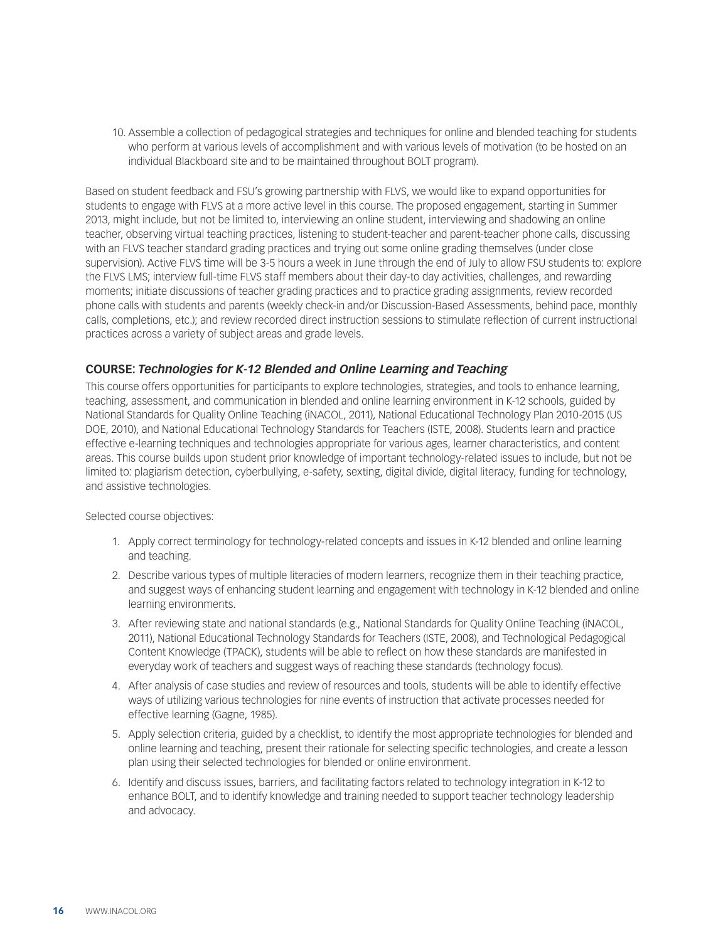10. Assemble a collection of pedagogical strategies and techniques for online and blended teaching for students who perform at various levels of accomplishment and with various levels of motivation (to be hosted on an individual Blackboard site and to be maintained throughout BOLT program).

Based on student feedback and FSU's growing partnership with FLVS, we would like to expand opportunities for students to engage with FLVS at a more active level in this course. The proposed engagement, starting in Summer 2013, might include, but not be limited to, interviewing an online student, interviewing and shadowing an online teacher, observing virtual teaching practices, listening to student-teacher and parent-teacher phone calls, discussing with an FLVS teacher standard grading practices and trying out some online grading themselves (under close supervision). Active FLVS time will be 3-5 hours a week in June through the end of July to allow FSU students to: explore the FLVS LMS; interview full-time FLVS staff members about their day-to day activities, challenges, and rewarding moments; initiate discussions of teacher grading practices and to practice grading assignments, review recorded phone calls with students and parents (weekly check-in and/or Discussion-Based Assessments, behind pace, monthly calls, completions, etc.); and review recorded direct instruction sessions to stimulate reflection of current instructional practices across a variety of subject areas and grade levels.

#### **COURSE:** *Technologies for K-12 Blended and Online Learning and Teaching*

This course offers opportunities for participants to explore technologies, strategies, and tools to enhance learning, teaching, assessment, and communication in blended and online learning environment in K-12 schools, guided by National Standards for Quality Online Teaching (iNACOL, 2011), National Educational Technology Plan 2010-2015 (US DOE, 2010), and National Educational Technology Standards for Teachers (ISTE, 2008). Students learn and practice effective e-learning techniques and technologies appropriate for various ages, learner characteristics, and content areas. This course builds upon student prior knowledge of important technology-related issues to include, but not be limited to: plagiarism detection, cyberbullying, e-safety, sexting, digital divide, digital literacy, funding for technology, and assistive technologies.

- 1. Apply correct terminology for technology-related concepts and issues in K-12 blended and online learning and teaching.
- 2. Describe various types of multiple literacies of modern learners, recognize them in their teaching practice, and suggest ways of enhancing student learning and engagement with technology in K-12 blended and online learning environments.
- 3. After reviewing state and national standards (e.g., National Standards for Quality Online Teaching (iNACOL, 2011), National Educational Technology Standards for Teachers (ISTE, 2008), and Technological Pedagogical Content Knowledge (TPACK), students will be able to reflect on how these standards are manifested in everyday work of teachers and suggest ways of reaching these standards (technology focus).
- 4. After analysis of case studies and review of resources and tools, students will be able to identify effective ways of utilizing various technologies for nine events of instruction that activate processes needed for effective learning (Gagne, 1985).
- 5. Apply selection criteria, guided by a checklist, to identify the most appropriate technologies for blended and online learning and teaching, present their rationale for selecting specific technologies, and create a lesson plan using their selected technologies for blended or online environment.
- 6. Identify and discuss issues, barriers, and facilitating factors related to technology integration in K-12 to enhance BOLT, and to identify knowledge and training needed to support teacher technology leadership and advocacy.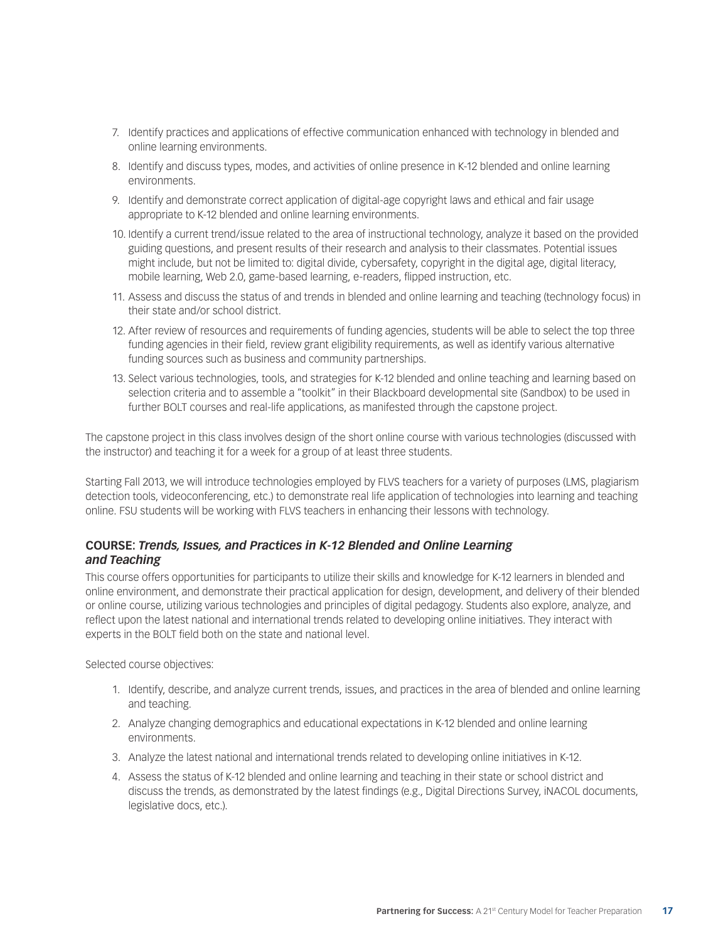- 7. Identify practices and applications of effective communication enhanced with technology in blended and online learning environments.
- 8. Identify and discuss types, modes, and activities of online presence in K-12 blended and online learning environments.
- 9. Identify and demonstrate correct application of digital-age copyright laws and ethical and fair usage appropriate to K-12 blended and online learning environments.
- 10. Identify a current trend/issue related to the area of instructional technology, analyze it based on the provided guiding questions, and present results of their research and analysis to their classmates. Potential issues might include, but not be limited to: digital divide, cybersafety, copyright in the digital age, digital literacy, mobile learning, Web 2.0, game-based learning, e-readers, flipped instruction, etc.
- 11. Assess and discuss the status of and trends in blended and online learning and teaching (technology focus) in their state and/or school district.
- 12. After review of resources and requirements of funding agencies, students will be able to select the top three funding agencies in their field, review grant eligibility requirements, as well as identify various alternative funding sources such as business and community partnerships.
- 13. Select various technologies, tools, and strategies for K-12 blended and online teaching and learning based on selection criteria and to assemble a "toolkit" in their Blackboard developmental site (Sandbox) to be used in further BOLT courses and real-life applications, as manifested through the capstone project.

The capstone project in this class involves design of the short online course with various technologies (discussed with the instructor) and teaching it for a week for a group of at least three students.

Starting Fall 2013, we will introduce technologies employed by FLVS teachers for a variety of purposes (LMS, plagiarism detection tools, videoconferencing, etc.) to demonstrate real life application of technologies into learning and teaching online. FSU students will be working with FLVS teachers in enhancing their lessons with technology.

#### **COURSE:** *Trends, Issues, and Practices in K-12 Blended and Online Learning and Teaching*

This course offers opportunities for participants to utilize their skills and knowledge for K-12 learners in blended and online environment, and demonstrate their practical application for design, development, and delivery of their blended or online course, utilizing various technologies and principles of digital pedagogy. Students also explore, analyze, and reflect upon the latest national and international trends related to developing online initiatives. They interact with experts in the BOLT field both on the state and national level.

- 1. Identify, describe, and analyze current trends, issues, and practices in the area of blended and online learning and teaching.
- 2. Analyze changing demographics and educational expectations in K-12 blended and online learning environments.
- 3. Analyze the latest national and international trends related to developing online initiatives in K-12.
- 4. Assess the status of K-12 blended and online learning and teaching in their state or school district and discuss the trends, as demonstrated by the latest findings (e.g., Digital Directions Survey, iNACOL documents, legislative docs, etc.).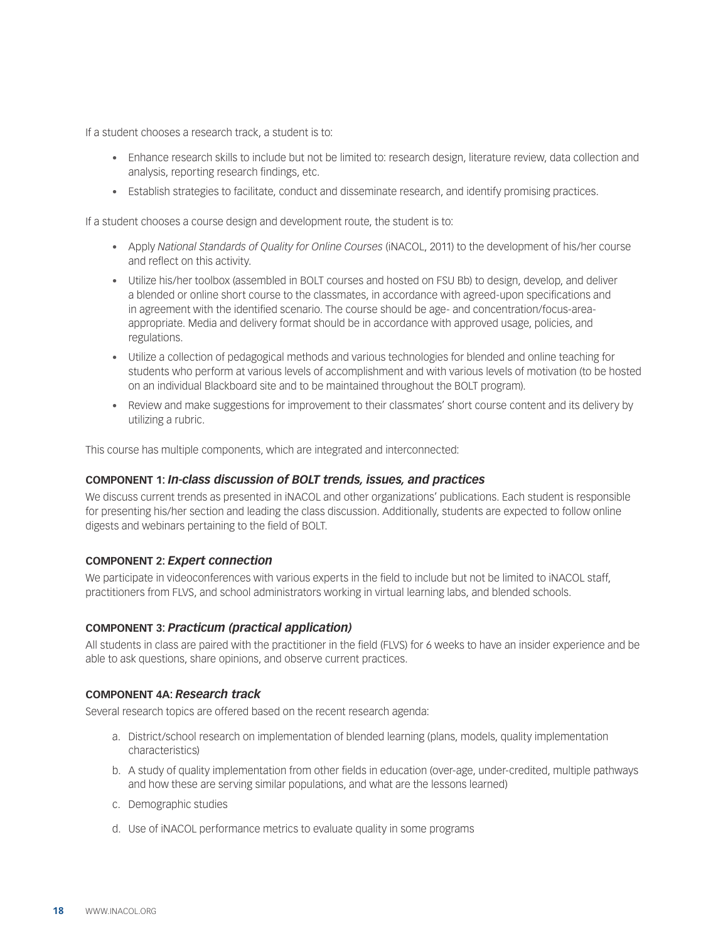If a student chooses a research track, a student is to:

- • Enhance research skills to include but not be limited to: research design, literature review, data collection and analysis, reporting research findings, etc.
- Establish strategies to facilitate, conduct and disseminate research, and identify promising practices.

If a student chooses a course design and development route, the student is to:

- • Apply *National Standards of Quality for Online Courses* (iNACOL, 2011) to the development of his/her course and reflect on this activity.
- • Utilize his/her toolbox (assembled in BOLT courses and hosted on FSU Bb) to design, develop, and deliver a blended or online short course to the classmates, in accordance with agreed-upon specifications and in agreement with the identified scenario. The course should be age- and concentration/focus-areaappropriate. Media and delivery format should be in accordance with approved usage, policies, and regulations.
- • Utilize a collection of pedagogical methods and various technologies for blended and online teaching for students who perform at various levels of accomplishment and with various levels of motivation (to be hosted on an individual Blackboard site and to be maintained throughout the BOLT program).
- • Review and make suggestions for improvement to their classmates' short course content and its delivery by utilizing a rubric.

This course has multiple components, which are integrated and interconnected:

#### **COMPONENT 1:** *In-class discussion of BOLT trends, issues, and practices*

We discuss current trends as presented in iNACOL and other organizations' publications. Each student is responsible for presenting his/her section and leading the class discussion. Additionally, students are expected to follow online digests and webinars pertaining to the field of BOLT.

#### **COMPONENT 2:** *Expert connection*

We participate in videoconferences with various experts in the field to include but not be limited to iNACOL staff, practitioners from FLVS, and school administrators working in virtual learning labs, and blended schools.

#### **COMPONENT 3:** *Practicum (practical application)*

All students in class are paired with the practitioner in the field (FLVS) for 6 weeks to have an insider experience and be able to ask questions, share opinions, and observe current practices.

#### **COMPONENT 4A:** *Research track*

Several research topics are offered based on the recent research agenda:

- a. District/school research on implementation of blended learning (plans, models, quality implementation characteristics)
- b. A study of quality implementation from other fields in education (over-age, under-credited, multiple pathways and how these are serving similar populations, and what are the lessons learned)
- c. Demographic studies
- d. Use of iNACOL performance metrics to evaluate quality in some programs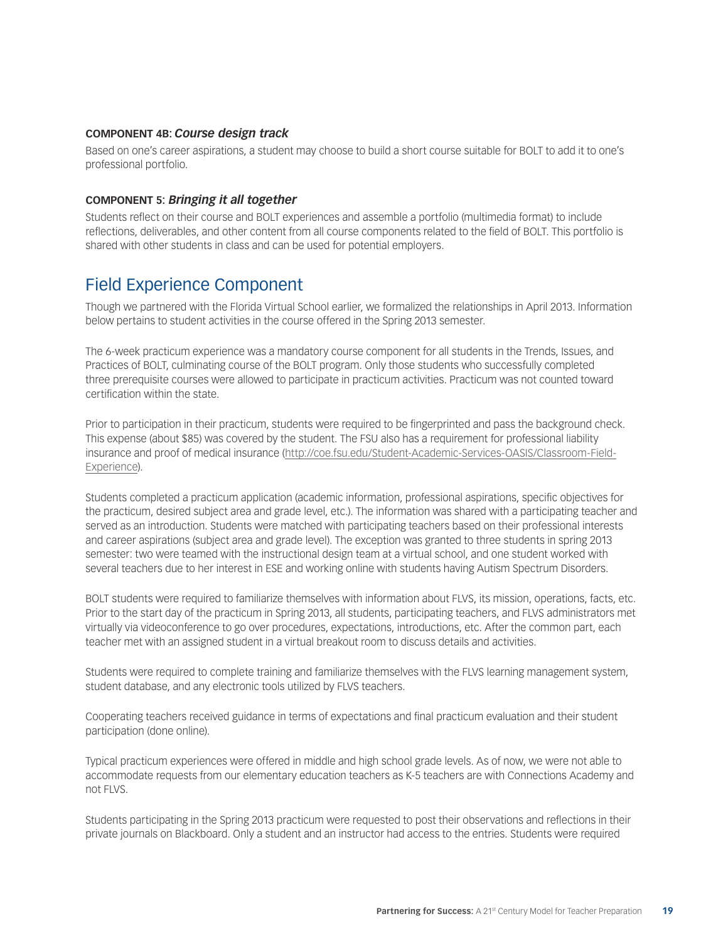#### **COMPONENT 4B:** *Course design track*

Based on one's career aspirations, a student may choose to build a short course suitable for BOLT to add it to one's professional portfolio.

#### **COMPONENT 5:** *Bringing it all together*

Students reflect on their course and BOLT experiences and assemble a portfolio (multimedia format) to include reflections, deliverables, and other content from all course components related to the field of BOLT. This portfolio is shared with other students in class and can be used for potential employers.

### Field Experience Component

Though we partnered with the Florida Virtual School earlier, we formalized the relationships in April 2013. Information below pertains to student activities in the course offered in the Spring 2013 semester.

The 6-week practicum experience was a mandatory course component for all students in the Trends, Issues, and Practices of BOLT, culminating course of the BOLT program. Only those students who successfully completed three prerequisite courses were allowed to participate in practicum activities. Practicum was not counted toward certification within the state.

Prior to participation in their practicum, students were required to be fingerprinted and pass the background check. This expense (about \$85) was covered by the student. The FSU also has a requirement for professional liability insurance and proof of medical insurance ([http://coe.fsu.edu/Student-Academic-Services-OASIS/Classroom-Field-](http://coe.fsu.edu/Student-Academic-Services-OASIS/Classroom-Field-Experience)[Experience\)](http://coe.fsu.edu/Student-Academic-Services-OASIS/Classroom-Field-Experience).

Students completed a practicum application (academic information, professional aspirations, specific objectives for the practicum, desired subject area and grade level, etc.). The information was shared with a participating teacher and served as an introduction. Students were matched with participating teachers based on their professional interests and career aspirations (subject area and grade level). The exception was granted to three students in spring 2013 semester: two were teamed with the instructional design team at a virtual school, and one student worked with several teachers due to her interest in ESE and working online with students having Autism Spectrum Disorders.

BOLT students were required to familiarize themselves with information about FLVS, its mission, operations, facts, etc. Prior to the start day of the practicum in Spring 2013, all students, participating teachers, and FLVS administrators met virtually via videoconference to go over procedures, expectations, introductions, etc. After the common part, each teacher met with an assigned student in a virtual breakout room to discuss details and activities.

Students were required to complete training and familiarize themselves with the FLVS learning management system, student database, and any electronic tools utilized by FLVS teachers.

Cooperating teachers received guidance in terms of expectations and final practicum evaluation and their student participation (done online).

Typical practicum experiences were offered in middle and high school grade levels. As of now, we were not able to accommodate requests from our elementary education teachers as K-5 teachers are with Connections Academy and not FLVS.

Students participating in the Spring 2013 practicum were requested to post their observations and reflections in their private journals on Blackboard. Only a student and an instructor had access to the entries. Students were required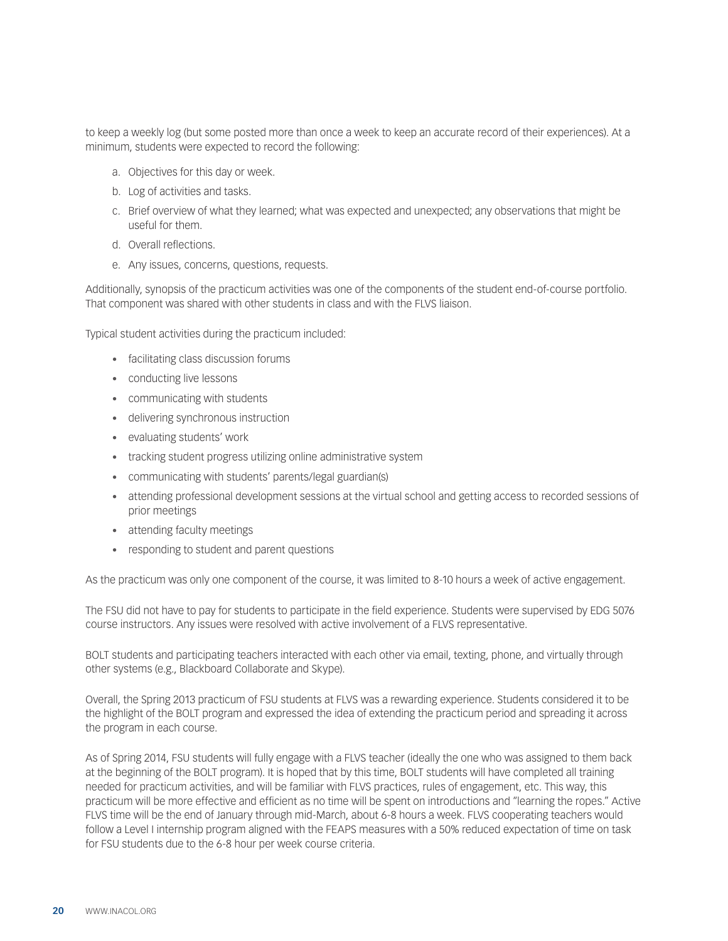to keep a weekly log (but some posted more than once a week to keep an accurate record of their experiences). At a minimum, students were expected to record the following:

- a. Objectives for this day or week.
- b. Log of activities and tasks.
- c. Brief overview of what they learned; what was expected and unexpected; any observations that might be useful for them.
- d. Overall reflections.
- e. Any issues, concerns, questions, requests.

Additionally, synopsis of the practicum activities was one of the components of the student end-of-course portfolio. That component was shared with other students in class and with the FLVS liaison.

Typical student activities during the practicum included:

- • facilitating class discussion forums
- • conducting live lessons
- • communicating with students
- • delivering synchronous instruction
- • evaluating students' work
- tracking student progress utilizing online administrative system
- communicating with students' parents/legal guardian(s)
- • attending professional development sessions at the virtual school and getting access to recorded sessions of prior meetings
- attending faculty meetings
- • responding to student and parent questions

As the practicum was only one component of the course, it was limited to 8-10 hours a week of active engagement.

The FSU did not have to pay for students to participate in the field experience. Students were supervised by EDG 5076 course instructors. Any issues were resolved with active involvement of a FLVS representative.

BOLT students and participating teachers interacted with each other via email, texting, phone, and virtually through other systems (e.g., Blackboard Collaborate and Skype).

Overall, the Spring 2013 practicum of FSU students at FLVS was a rewarding experience. Students considered it to be the highlight of the BOLT program and expressed the idea of extending the practicum period and spreading it across the program in each course.

As of Spring 2014, FSU students will fully engage with a FLVS teacher (ideally the one who was assigned to them back at the beginning of the BOLT program). It is hoped that by this time, BOLT students will have completed all training needed for practicum activities, and will be familiar with FLVS practices, rules of engagement, etc. This way, this practicum will be more effective and efficient as no time will be spent on introductions and "learning the ropes." Active FLVS time will be the end of January through mid-March, about 6-8 hours a week. FLVS cooperating teachers would follow a Level I internship program aligned with the FEAPS measures with a 50% reduced expectation of time on task for FSU students due to the 6-8 hour per week course criteria.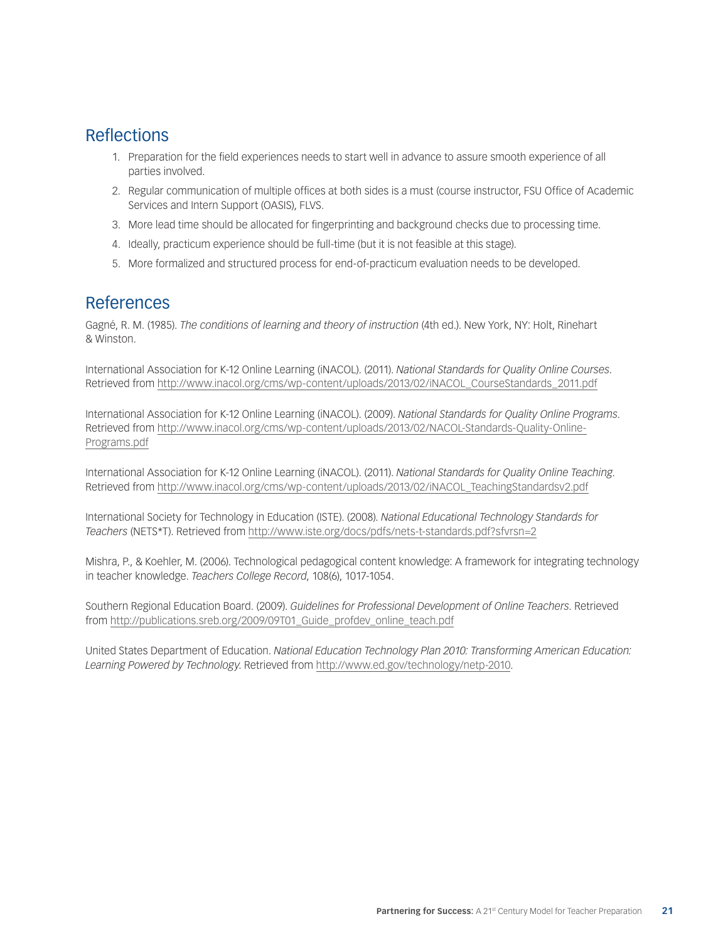## Reflections

- 1. Preparation for the field experiences needs to start well in advance to assure smooth experience of all parties involved.
- 2. Regular communication of multiple offices at both sides is a must (course instructor, FSU Office of Academic Services and Intern Support (OASIS), FLVS.
- 3. More lead time should be allocated for fingerprinting and background checks due to processing time.
- 4. Ideally, practicum experience should be full-time (but it is not feasible at this stage).
- 5. More formalized and structured process for end-of-practicum evaluation needs to be developed.

## References

Gagné, R. M. (1985). *The conditions of learning and theory of instruction* (4th ed.). New York, NY: Holt, Rinehart & Winston.

International Association for K-12 Online Learning (iNACOL). (2011). *National Standards for Quality Online Courses*. Retrieved from [http://www.inacol.org/cms/wp-content/uploads/2013/02/iNACOL\\_CourseStandards\\_2011.pdf](http://www.inacol.org/cms/wp-content/uploads/2013/02/iNACOL_CourseStandards_2011.pdf)

International Association for K-12 Online Learning (iNACOL). (2009). *National Standards for Quality Online Programs*. Retrieved from [http://www.inacol.org/cms/wp-content/uploads/2013/02/NACOL-Standards-Quality-Online-](http://www.inacol.org/cms/wp-content/uploads/2013/02/NACOL-Standards-Quality-Online-Programs.pdf)[Programs.pdf](http://www.inacol.org/cms/wp-content/uploads/2013/02/NACOL-Standards-Quality-Online-Programs.pdf)

International Association for K-12 Online Learning (iNACOL). (2011). *National Standards for Quality Online Teaching*. Retrieved from [http://www.inacol.org/cms/wp-content/uploads/2013/02/iNACOL\\_TeachingStandardsv2.pdf](http://www.inacol.org/cms/wp-content/uploads/2013/02/iNACOL_TeachingStandardsv2.pdf)

International Society for Technology in Education (ISTE). (2008). *National Educational Technology Standards for Teachers* (NETS\*T). Retrieved from <http://www.iste.org/docs/pdfs/nets-t-standards.pdf?sfvrsn=2>

Mishra, P., & Koehler, M. (2006). Technological pedagogical content knowledge: A framework for integrating technology in teacher knowledge. *Teachers College Record*, 108(6), 1017-1054.

Southern Regional Education Board. (2009). *Guidelines for Professional Development of Online Teachers*. Retrieved from [http://publications.sreb.org/2009/09T01\\_Guide\\_profdev\\_online\\_teach.pdf](http://publications.sreb.org/2009/09T01_Guide_profdev_online_teach.pdf)

United States Department of Education. *National Education Technology Plan 2010: Transforming American Education: Learning Powered by Technology*. Retrieved from [http://www.ed.gov/technology/netp-2010.](http://www.ed.gov/technology/netp-2010)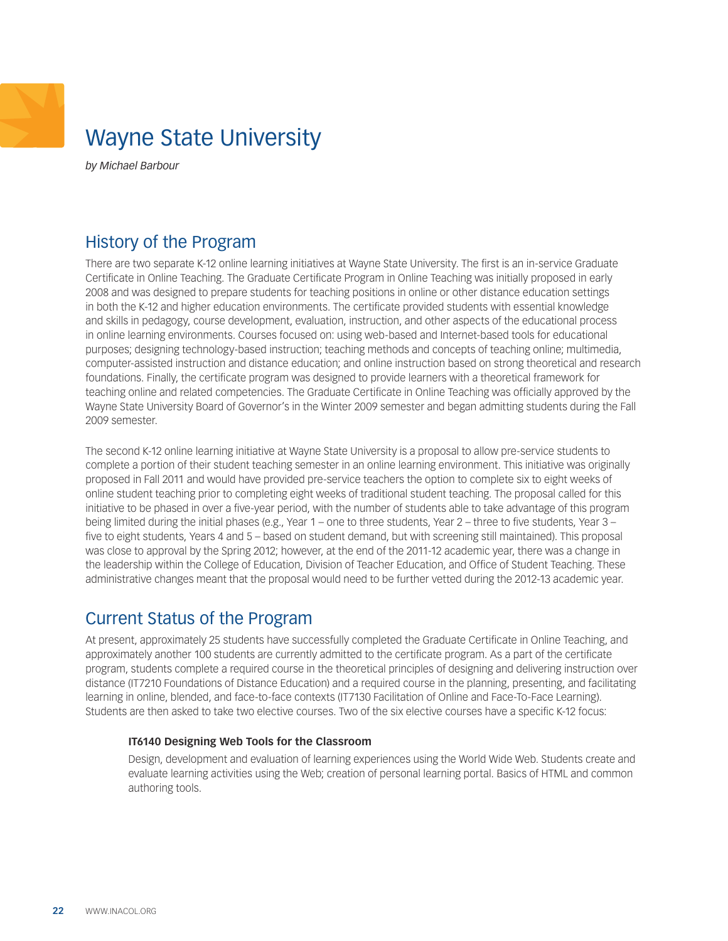## <span id="page-21-0"></span>Wayne State University

*by Michael Barbour* 

## History of the Program

There are two separate K-12 online learning initiatives at Wayne State University. The first is an in-service Graduate Certificate in Online Teaching. The Graduate Certificate Program in Online Teaching was initially proposed in early 2008 and was designed to prepare students for teaching positions in online or other distance education settings in both the K-12 and higher education environments. The certificate provided students with essential knowledge and skills in pedagogy, course development, evaluation, instruction, and other aspects of the educational process in online learning environments. Courses focused on: using web-based and Internet-based tools for educational purposes; designing technology-based instruction; teaching methods and concepts of teaching online; multimedia, computer-assisted instruction and distance education; and online instruction based on strong theoretical and research foundations. Finally, the certificate program was designed to provide learners with a theoretical framework for teaching online and related competencies. The Graduate Certificate in Online Teaching was officially approved by the Wayne State University Board of Governor's in the Winter 2009 semester and began admitting students during the Fall 2009 semester.

The second K-12 online learning initiative at Wayne State University is a proposal to allow pre-service students to complete a portion of their student teaching semester in an online learning environment. This initiative was originally proposed in Fall 2011 and would have provided pre-service teachers the option to complete six to eight weeks of online student teaching prior to completing eight weeks of traditional student teaching. The proposal called for this initiative to be phased in over a five-year period, with the number of students able to take advantage of this program being limited during the initial phases (e.g., Year 1 – one to three students, Year 2 – three to five students, Year 3 – five to eight students, Years 4 and 5 – based on student demand, but with screening still maintained). This proposal was close to approval by the Spring 2012; however, at the end of the 2011-12 academic year, there was a change in the leadership within the College of Education, Division of Teacher Education, and Office of Student Teaching. These administrative changes meant that the proposal would need to be further vetted during the 2012-13 academic year.

## Current Status of the Program

At present, approximately 25 students have successfully completed the Graduate Certificate in Online Teaching, and approximately another 100 students are currently admitted to the certificate program. As a part of the certificate program, students complete a required course in the theoretical principles of designing and delivering instruction over distance (IT7210 Foundations of Distance Education) and a required course in the planning, presenting, and facilitating learning in online, blended, and face-to-face contexts (IT7130 Facilitation of Online and Face-To-Face Learning). Students are then asked to take two elective courses. Two of the six elective courses have a specific K-12 focus:

#### **IT6140 Designing Web Tools for the Classroom**

Design, development and evaluation of learning experiences using the World Wide Web. Students create and evaluate learning activities using the Web; creation of personal learning portal. Basics of HTML and common authoring tools.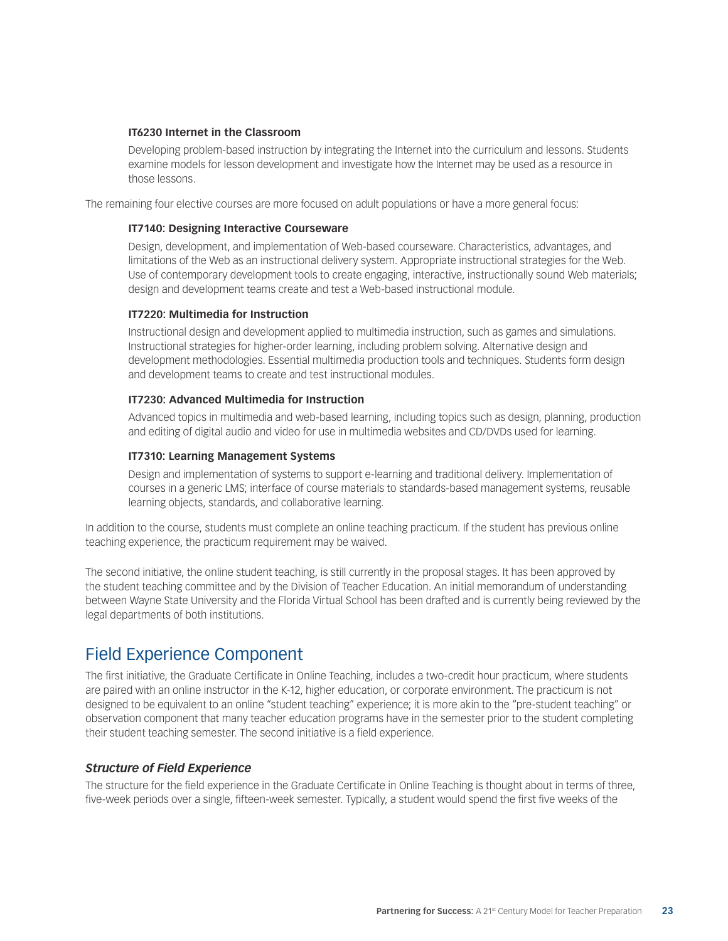#### **IT6230 Internet in the Classroom**

Developing problem-based instruction by integrating the Internet into the curriculum and lessons. Students examine models for lesson development and investigate how the Internet may be used as a resource in those lessons.

The remaining four elective courses are more focused on adult populations or have a more general focus:

#### **IT7140: Designing Interactive Courseware**

Design, development, and implementation of Web-based courseware. Characteristics, advantages, and limitations of the Web as an instructional delivery system. Appropriate instructional strategies for the Web. Use of contemporary development tools to create engaging, interactive, instructionally sound Web materials; design and development teams create and test a Web-based instructional module.

#### **IT7220: Multimedia for Instruction**

Instructional design and development applied to multimedia instruction, such as games and simulations. Instructional strategies for higher-order learning, including problem solving. Alternative design and development methodologies. Essential multimedia production tools and techniques. Students form design and development teams to create and test instructional modules.

#### **IT7230: Advanced Multimedia for Instruction**

Advanced topics in multimedia and web-based learning, including topics such as design, planning, production and editing of digital audio and video for use in multimedia websites and CD/DVDs used for learning.

#### **IT7310: Learning Management Systems**

Design and implementation of systems to support e-learning and traditional delivery. Implementation of courses in a generic LMS; interface of course materials to standards-based management systems, reusable learning objects, standards, and collaborative learning.

In addition to the course, students must complete an online teaching practicum. If the student has previous online teaching experience, the practicum requirement may be waived.

The second initiative, the online student teaching, is still currently in the proposal stages. It has been approved by the student teaching committee and by the Division of Teacher Education. An initial memorandum of understanding between Wayne State University and the Florida Virtual School has been drafted and is currently being reviewed by the legal departments of both institutions.

### Field Experience Component

The first initiative, the Graduate Certificate in Online Teaching, includes a two-credit hour practicum, where students are paired with an online instructor in the K-12, higher education, or corporate environment. The practicum is not designed to be equivalent to an online "student teaching" experience; it is more akin to the "pre-student teaching" or observation component that many teacher education programs have in the semester prior to the student completing their student teaching semester. The second initiative is a field experience.

#### *Structure of Field Experience*

The structure for the field experience in the Graduate Certificate in Online Teaching is thought about in terms of three, five-week periods over a single, fifteen-week semester. Typically, a student would spend the first five weeks of the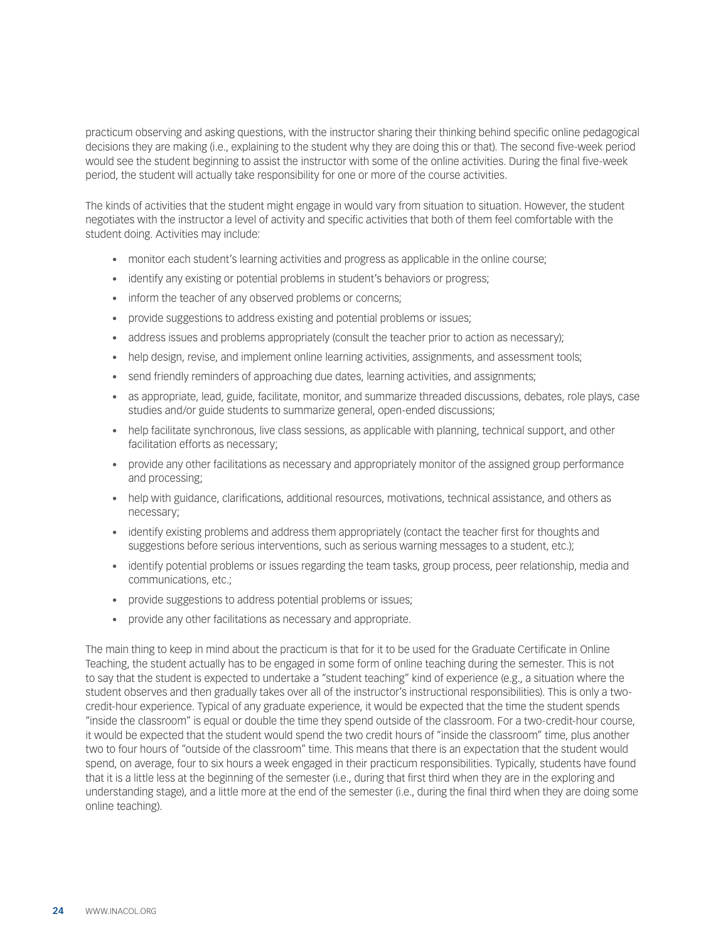practicum observing and asking questions, with the instructor sharing their thinking behind specific online pedagogical decisions they are making (i.e., explaining to the student why they are doing this or that). The second five-week period would see the student beginning to assist the instructor with some of the online activities. During the final five-week period, the student will actually take responsibility for one or more of the course activities.

The kinds of activities that the student might engage in would vary from situation to situation. However, the student negotiates with the instructor a level of activity and specific activities that both of them feel comfortable with the student doing. Activities may include:

- monitor each student's learning activities and progress as applicable in the online course;
- identify any existing or potential problems in student's behaviors or progress;
- inform the teacher of any observed problems or concerns;
- provide suggestions to address existing and potential problems or issues;
- address issues and problems appropriately (consult the teacher prior to action as necessary);
- help design, revise, and implement online learning activities, assignments, and assessment tools;
- send friendly reminders of approaching due dates, learning activities, and assignments;
- as appropriate, lead, guide, facilitate, monitor, and summarize threaded discussions, debates, role plays, case studies and/or guide students to summarize general, open-ended discussions;
- help facilitate synchronous, live class sessions, as applicable with planning, technical support, and other facilitation efforts as necessary;
- provide any other facilitations as necessary and appropriately monitor of the assigned group performance and processing;
- • help with guidance, clarifications, additional resources, motivations, technical assistance, and others as necessary;
- identify existing problems and address them appropriately (contact the teacher first for thoughts and suggestions before serious interventions, such as serious warning messages to a student, etc.);
- identify potential problems or issues regarding the team tasks, group process, peer relationship, media and communications, etc.;
- provide suggestions to address potential problems or issues;
- provide any other facilitations as necessary and appropriate.

The main thing to keep in mind about the practicum is that for it to be used for the Graduate Certificate in Online Teaching, the student actually has to be engaged in some form of online teaching during the semester. This is not to say that the student is expected to undertake a "student teaching" kind of experience (e.g., a situation where the student observes and then gradually takes over all of the instructor's instructional responsibilities). This is only a twocredit-hour experience. Typical of any graduate experience, it would be expected that the time the student spends "inside the classroom" is equal or double the time they spend outside of the classroom. For a two-credit-hour course, it would be expected that the student would spend the two credit hours of "inside the classroom" time, plus another two to four hours of "outside of the classroom" time. This means that there is an expectation that the student would spend, on average, four to six hours a week engaged in their practicum responsibilities. Typically, students have found that it is a little less at the beginning of the semester (i.e., during that first third when they are in the exploring and understanding stage), and a little more at the end of the semester (i.e., during the final third when they are doing some online teaching).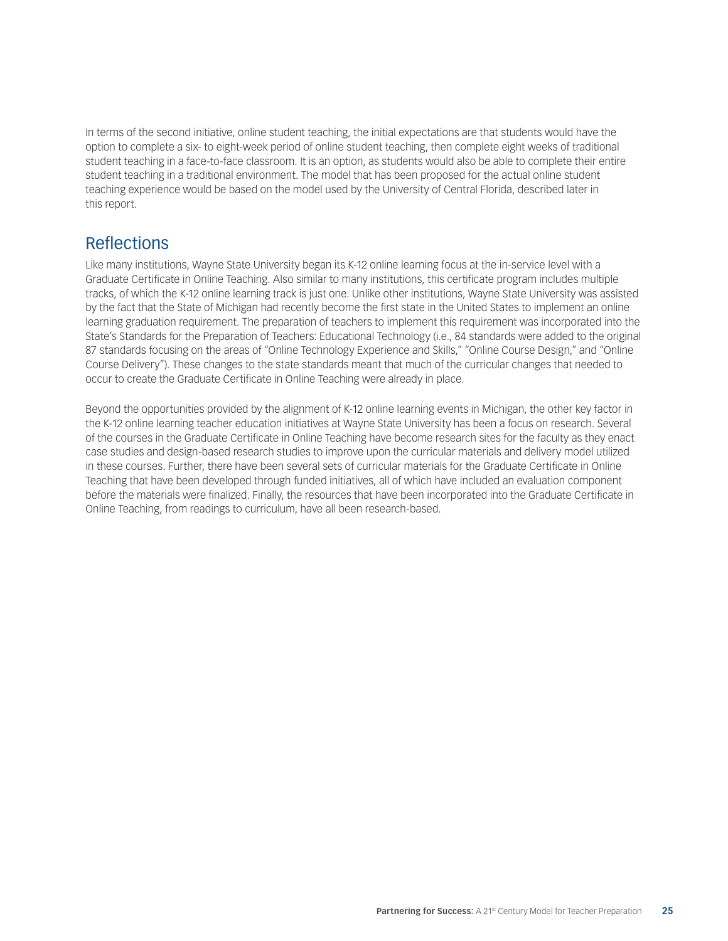In terms of the second initiative, online student teaching, the initial expectations are that students would have the option to complete a six- to eight-week period of online student teaching, then complete eight weeks of traditional student teaching in a face-to-face classroom. It is an option, as students would also be able to complete their entire student teaching in a traditional environment. The model that has been proposed for the actual online student teaching experience would be based on the model used by the University of Central Florida, described later in this report.

### Reflections

Like many institutions, Wayne State University began its K-12 online learning focus at the in-service level with a Graduate Certificate in Online Teaching. Also similar to many institutions, this certificate program includes multiple tracks, of which the K-12 online learning track is just one. Unlike other institutions, Wayne State University was assisted by the fact that the State of Michigan had recently become the first state in the United States to implement an online learning graduation requirement. The preparation of teachers to implement this requirement was incorporated into the State's Standards for the Preparation of Teachers: Educational Technology (i.e., 84 standards were added to the original 87 standards focusing on the areas of "Online Technology Experience and Skills," "Online Course Design," and "Online Course Delivery"). These changes to the state standards meant that much of the curricular changes that needed to occur to create the Graduate Certificate in Online Teaching were already in place.

Beyond the opportunities provided by the alignment of K-12 online learning events in Michigan, the other key factor in the K-12 online learning teacher education initiatives at Wayne State University has been a focus on research. Several of the courses in the Graduate Certificate in Online Teaching have become research sites for the faculty as they enact case studies and design-based research studies to improve upon the curricular materials and delivery model utilized in these courses. Further, there have been several sets of curricular materials for the Graduate Certificate in Online Teaching that have been developed through funded initiatives, all of which have included an evaluation component before the materials were finalized. Finally, the resources that have been incorporated into the Graduate Certificate in Online Teaching, from readings to curriculum, have all been research-based.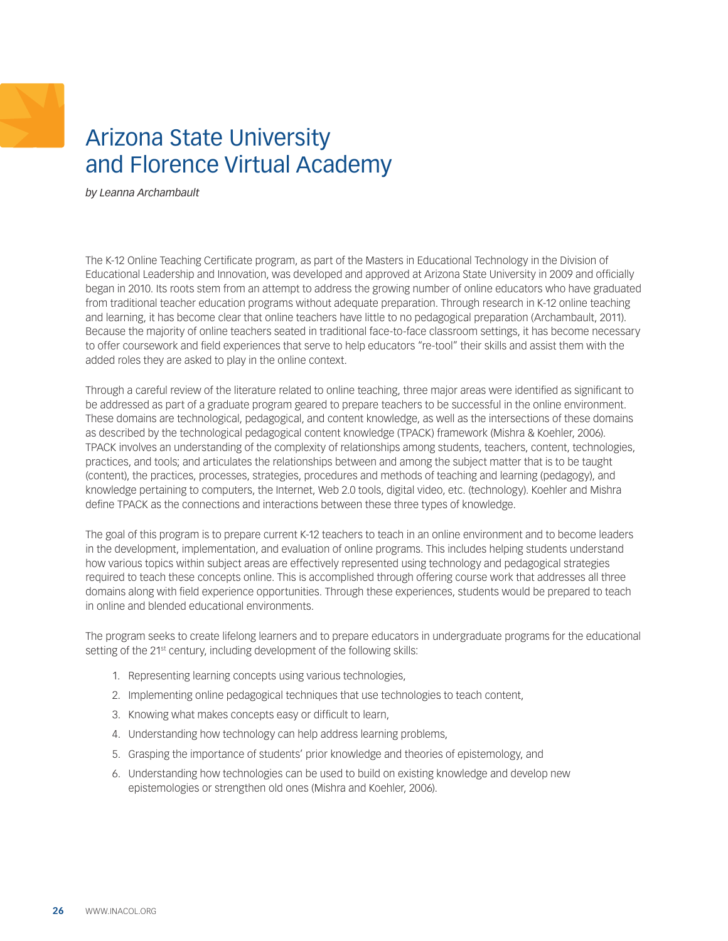## <span id="page-25-0"></span>Arizona State University and Florence Virtual Academy

*by Leanna Archambault* 

The K-12 Online Teaching Certificate program, as part of the Masters in Educational Technology in the Division of Educational Leadership and Innovation, was developed and approved at Arizona State University in 2009 and officially began in 2010. Its roots stem from an attempt to address the growing number of online educators who have graduated from traditional teacher education programs without adequate preparation. Through research in K-12 online teaching and learning, it has become clear that online teachers have little to no pedagogical preparation (Archambault, 2011). Because the majority of online teachers seated in traditional face-to-face classroom settings, it has become necessary to offer coursework and field experiences that serve to help educators "re-tool" their skills and assist them with the added roles they are asked to play in the online context.

Through a careful review of the literature related to online teaching, three major areas were identified as significant to be addressed as part of a graduate program geared to prepare teachers to be successful in the online environment. These domains are technological, pedagogical, and content knowledge, as well as the intersections of these domains as described by the technological pedagogical content knowledge (TPACK) framework (Mishra & Koehler, 2006). TPACK involves an understanding of the complexity of relationships among students, teachers, content, technologies, practices, and tools; and articulates the relationships between and among the subject matter that is to be taught (content), the practices, processes, strategies, procedures and methods of teaching and learning (pedagogy), and knowledge pertaining to computers, the Internet, Web 2.0 tools, digital video, etc. (technology). Koehler and Mishra define TPACK as the connections and interactions between these three types of knowledge.

The goal of this program is to prepare current K-12 teachers to teach in an online environment and to become leaders in the development, implementation, and evaluation of online programs. This includes helping students understand how various topics within subject areas are effectively represented using technology and pedagogical strategies required to teach these concepts online. This is accomplished through offering course work that addresses all three domains along with field experience opportunities. Through these experiences, students would be prepared to teach in online and blended educational environments.

The program seeks to create lifelong learners and to prepare educators in undergraduate programs for the educational setting of the 21<sup>st</sup> century, including development of the following skills:

- 1. Representing learning concepts using various technologies,
- 2. Implementing online pedagogical techniques that use technologies to teach content,
- 3. Knowing what makes concepts easy or difficult to learn,
- 4. Understanding how technology can help address learning problems,
- 5. Grasping the importance of students' prior knowledge and theories of epistemology, and
- 6. Understanding how technologies can be used to build on existing knowledge and develop new epistemologies or strengthen old ones (Mishra and Koehler, 2006).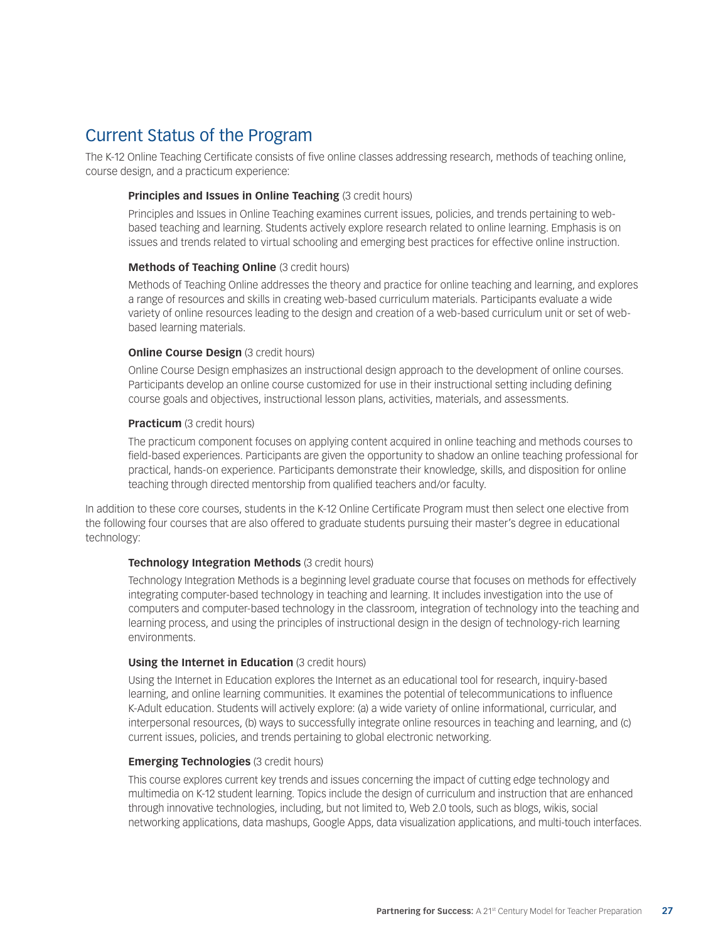## Current Status of the Program

The K-12 Online Teaching Certificate consists of five online classes addressing research, methods of teaching online, course design, and a practicum experience:

#### **Principles and Issues in Online Teaching (3 credit hours)**

Principles and Issues in Online Teaching examines current issues, policies, and trends pertaining to webbased teaching and learning. Students actively explore research related to online learning. Emphasis is on issues and trends related to virtual schooling and emerging best practices for effective online instruction.

#### **Methods of Teaching Online** (3 credit hours)

Methods of Teaching Online addresses the theory and practice for online teaching and learning, and explores a range of resources and skills in creating web-based curriculum materials. Participants evaluate a wide variety of online resources leading to the design and creation of a web-based curriculum unit or set of webbased learning materials.

#### **Online Course Design** (3 credit hours)

Online Course Design emphasizes an instructional design approach to the development of online courses. Participants develop an online course customized for use in their instructional setting including defining course goals and objectives, instructional lesson plans, activities, materials, and assessments.

#### **Practicum** (3 credit hours)

The practicum component focuses on applying content acquired in online teaching and methods courses to field-based experiences. Participants are given the opportunity to shadow an online teaching professional for practical, hands-on experience. Participants demonstrate their knowledge, skills, and disposition for online teaching through directed mentorship from qualified teachers and/or faculty.

In addition to these core courses, students in the K-12 Online Certificate Program must then select one elective from the following four courses that are also offered to graduate students pursuing their master's degree in educational technology:

#### **Technology Integration Methods** (3 credit hours)

Technology Integration Methods is a beginning level graduate course that focuses on methods for effectively integrating computer-based technology in teaching and learning. It includes investigation into the use of computers and computer-based technology in the classroom, integration of technology into the teaching and learning process, and using the principles of instructional design in the design of technology-rich learning environments.

#### **Using the Internet in Education** (3 credit hours)

Using the Internet in Education explores the Internet as an educational tool for research, inquiry-based learning, and online learning communities. It examines the potential of telecommunications to influence K-Adult education. Students will actively explore: (a) a wide variety of online informational, curricular, and interpersonal resources, (b) ways to successfully integrate online resources in teaching and learning, and (c) current issues, policies, and trends pertaining to global electronic networking.

#### **Emerging Technologies** (3 credit hours)

This course explores current key trends and issues concerning the impact of cutting edge technology and multimedia on K-12 student learning. Topics include the design of curriculum and instruction that are enhanced through innovative technologies, including, but not limited to, Web 2.0 tools, such as blogs, wikis, social networking applications, data mashups, Google Apps, data visualization applications, and multi-touch interfaces.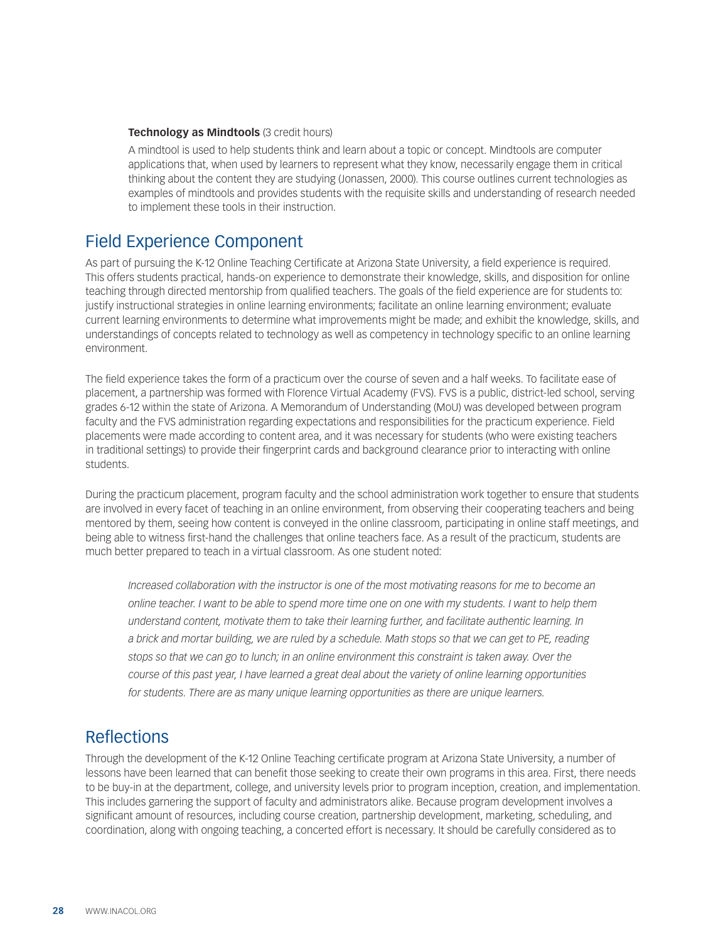#### **Technology as Mindtools** (3 credit hours)

A mindtool is used to help students think and learn about a topic or concept. Mindtools are computer applications that, when used by learners to represent what they know, necessarily engage them in critical thinking about the content they are studying (Jonassen, 2000). This course outlines current technologies as examples of mindtools and provides students with the requisite skills and understanding of research needed to implement these tools in their instruction.

### Field Experience Component

As part of pursuing the K-12 Online Teaching Certificate at Arizona State University, a field experience is required. This offers students practical, hands-on experience to demonstrate their knowledge, skills, and disposition for online teaching through directed mentorship from qualified teachers. The goals of the field experience are for students to: justify instructional strategies in online learning environments; facilitate an online learning environment; evaluate current learning environments to determine what improvements might be made; and exhibit the knowledge, skills, and understandings of concepts related to technology as well as competency in technology specific to an online learning environment.

The field experience takes the form of a practicum over the course of seven and a half weeks. To facilitate ease of placement, a partnership was formed with Florence Virtual Academy (FVS). FVS is a public, district-led school, serving grades 6-12 within the state of Arizona. A Memorandum of Understanding (MoU) was developed between program faculty and the FVS administration regarding expectations and responsibilities for the practicum experience. Field placements were made according to content area, and it was necessary for students (who were existing teachers in traditional settings) to provide their fingerprint cards and background clearance prior to interacting with online students.

During the practicum placement, program faculty and the school administration work together to ensure that students are involved in every facet of teaching in an online environment, from observing their cooperating teachers and being mentored by them, seeing how content is conveyed in the online classroom, participating in online staff meetings, and being able to witness first-hand the challenges that online teachers face. As a result of the practicum, students are much better prepared to teach in a virtual classroom. As one student noted:

*Increased collaboration with the instructor is one of the most motivating reasons for me to become an online teacher. I want to be able to spend more time one on one with my students. I want to help them understand content, motivate them to take their learning further, and facilitate authentic learning. In a brick and mortar building, we are ruled by a schedule. Math stops so that we can get to PE, reading stops so that we can go to lunch; in an online environment this constraint is taken away. Over the course of this past year, I have learned a great deal about the variety of online learning opportunities for students. There are as many unique learning opportunities as there are unique learners.*

### **Reflections**

Through the development of the K-12 Online Teaching certificate program at Arizona State University, a number of lessons have been learned that can benefit those seeking to create their own programs in this area. First, there needs to be buy-in at the department, college, and university levels prior to program inception, creation, and implementation. This includes garnering the support of faculty and administrators alike. Because program development involves a significant amount of resources, including course creation, partnership development, marketing, scheduling, and coordination, along with ongoing teaching, a concerted effort is necessary. It should be carefully considered as to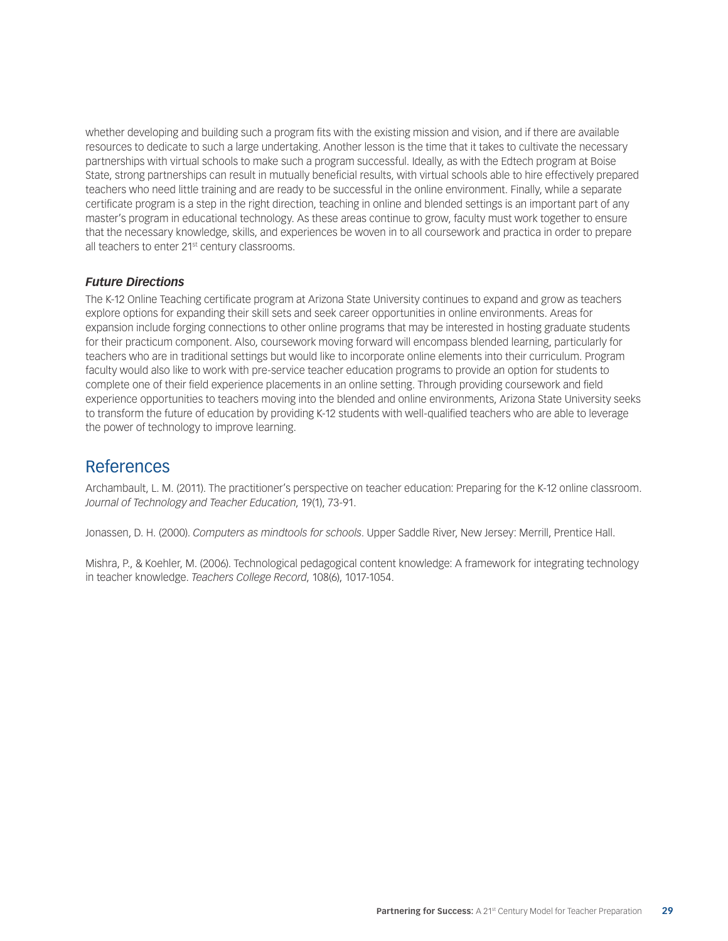whether developing and building such a program fits with the existing mission and vision, and if there are available resources to dedicate to such a large undertaking. Another lesson is the time that it takes to cultivate the necessary partnerships with virtual schools to make such a program successful. Ideally, as with the Edtech program at Boise State, strong partnerships can result in mutually beneficial results, with virtual schools able to hire effectively prepared teachers who need little training and are ready to be successful in the online environment. Finally, while a separate certificate program is a step in the right direction, teaching in online and blended settings is an important part of any master's program in educational technology. As these areas continue to grow, faculty must work together to ensure that the necessary knowledge, skills, and experiences be woven in to all coursework and practica in order to prepare all teachers to enter 21<sup>st</sup> century classrooms.

#### *Future Directions*

The K-12 Online Teaching certificate program at Arizona State University continues to expand and grow as teachers explore options for expanding their skill sets and seek career opportunities in online environments. Areas for expansion include forging connections to other online programs that may be interested in hosting graduate students for their practicum component. Also, coursework moving forward will encompass blended learning, particularly for teachers who are in traditional settings but would like to incorporate online elements into their curriculum. Program faculty would also like to work with pre-service teacher education programs to provide an option for students to complete one of their field experience placements in an online setting. Through providing coursework and field experience opportunities to teachers moving into the blended and online environments, Arizona State University seeks to transform the future of education by providing K-12 students with well-qualified teachers who are able to leverage the power of technology to improve learning.

### References

Archambault, L. M. (2011). The practitioner's perspective on teacher education: Preparing for the K-12 online classroom. *Journal of Technology and Teacher Education*, 19(1), 73-91.

Jonassen, D. H. (2000). *Computers as mindtools for schools*. Upper Saddle River, New Jersey: Merrill, Prentice Hall.

Mishra, P., & Koehler, M. (2006). Technological pedagogical content knowledge: A framework for integrating technology in teacher knowledge. *Teachers College Record*, 108(6), 1017-1054.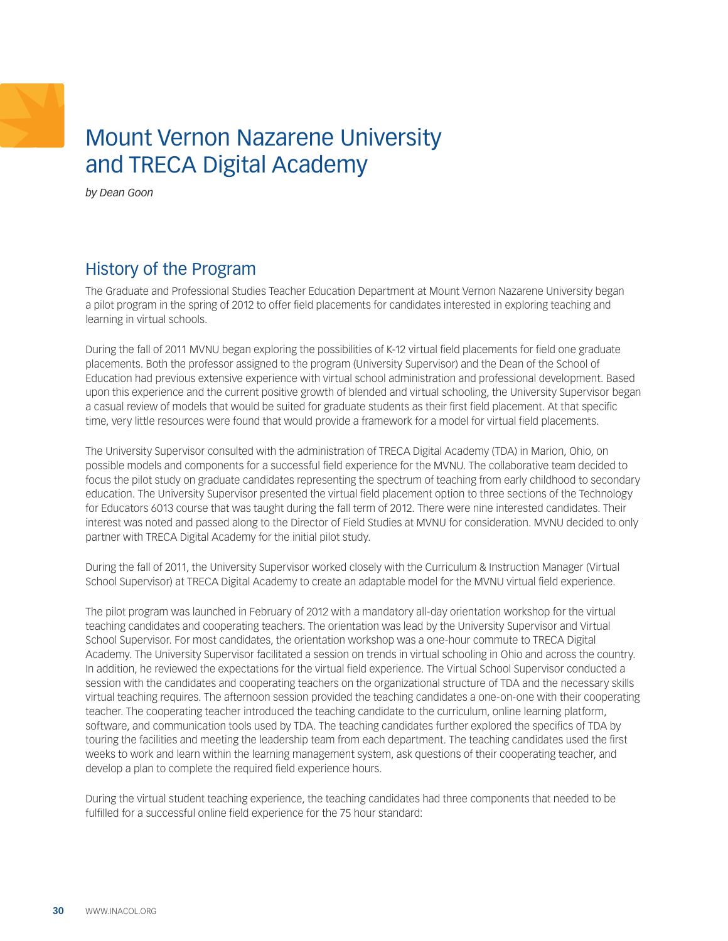## <span id="page-29-0"></span>Mount Vernon Nazarene University and TRECA Digital Academy

*by Dean Goon* 

## History of the Program

The Graduate and Professional Studies Teacher Education Department at Mount Vernon Nazarene University began a pilot program in the spring of 2012 to offer field placements for candidates interested in exploring teaching and learning in virtual schools.

During the fall of 2011 MVNU began exploring the possibilities of K-12 virtual field placements for field one graduate placements. Both the professor assigned to the program (University Supervisor) and the Dean of the School of Education had previous extensive experience with virtual school administration and professional development. Based upon this experience and the current positive growth of blended and virtual schooling, the University Supervisor began a casual review of models that would be suited for graduate students as their first field placement. At that specific time, very little resources were found that would provide a framework for a model for virtual field placements.

The University Supervisor consulted with the administration of TRECA Digital Academy (TDA) in Marion, Ohio, on possible models and components for a successful field experience for the MVNU. The collaborative team decided to focus the pilot study on graduate candidates representing the spectrum of teaching from early childhood to secondary education. The University Supervisor presented the virtual field placement option to three sections of the Technology for Educators 6013 course that was taught during the fall term of 2012. There were nine interested candidates. Their interest was noted and passed along to the Director of Field Studies at MVNU for consideration. MVNU decided to only partner with TRECA Digital Academy for the initial pilot study.

During the fall of 2011, the University Supervisor worked closely with the Curriculum & Instruction Manager (Virtual School Supervisor) at TRECA Digital Academy to create an adaptable model for the MVNU virtual field experience.

The pilot program was launched in February of 2012 with a mandatory all-day orientation workshop for the virtual teaching candidates and cooperating teachers. The orientation was lead by the University Supervisor and Virtual School Supervisor. For most candidates, the orientation workshop was a one-hour commute to TRECA Digital Academy. The University Supervisor facilitated a session on trends in virtual schooling in Ohio and across the country. In addition, he reviewed the expectations for the virtual field experience. The Virtual School Supervisor conducted a session with the candidates and cooperating teachers on the organizational structure of TDA and the necessary skills virtual teaching requires. The afternoon session provided the teaching candidates a one-on-one with their cooperating teacher. The cooperating teacher introduced the teaching candidate to the curriculum, online learning platform, software, and communication tools used by TDA. The teaching candidates further explored the specifics of TDA by touring the facilities and meeting the leadership team from each department. The teaching candidates used the first weeks to work and learn within the learning management system, ask questions of their cooperating teacher, and develop a plan to complete the required field experience hours.

During the virtual student teaching experience, the teaching candidates had three components that needed to be fulfilled for a successful online field experience for the 75 hour standard: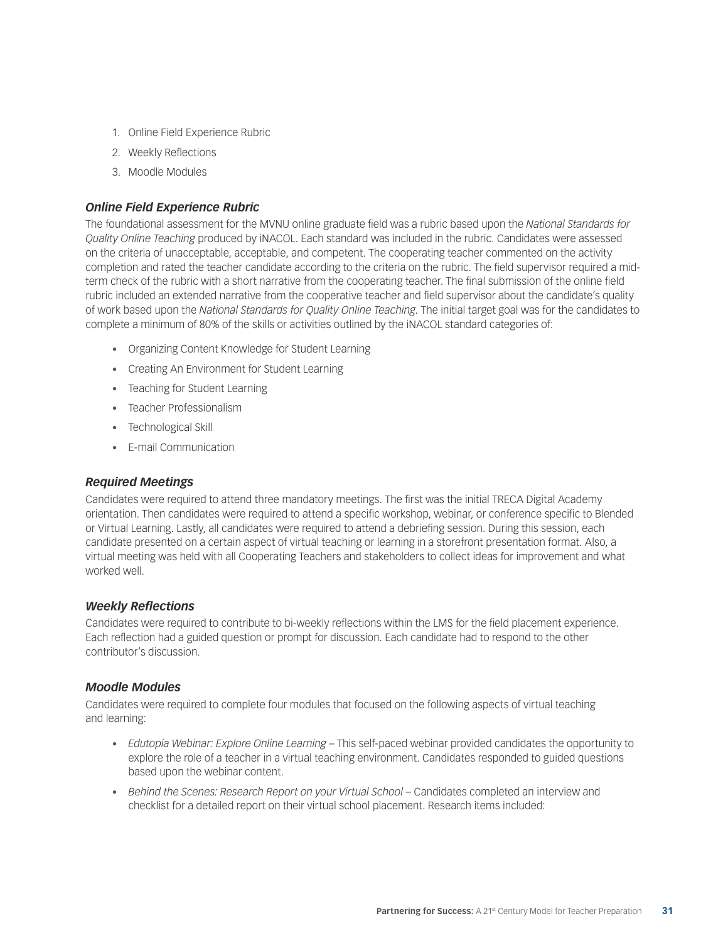- 1. Online Field Experience Rubric
- 2. Weekly Reflections
- 3. Moodle Modules

#### *Online Field Experience Rubric*

The foundational assessment for the MVNU online graduate field was a rubric based upon the *National Standards for Quality Online Teaching* produced by iNACOL. Each standard was included in the rubric. Candidates were assessed on the criteria of unacceptable, acceptable, and competent. The cooperating teacher commented on the activity completion and rated the teacher candidate according to the criteria on the rubric. The field supervisor required a midterm check of the rubric with a short narrative from the cooperating teacher. The final submission of the online field rubric included an extended narrative from the cooperative teacher and field supervisor about the candidate's quality of work based upon the *National Standards for Quality Online Teaching*. The initial target goal was for the candidates to complete a minimum of 80% of the skills or activities outlined by the iNACOL standard categories of:

- • Organizing Content Knowledge for Student Learning
- • Creating An Environment for Student Learning
- Teaching for Student Learning
- • Teacher Professionalism
- • Technological Skill
- • E-mail Communication

#### *Required Meetings*

Candidates were required to attend three mandatory meetings. The first was the initial TRECA Digital Academy orientation. Then candidates were required to attend a specific workshop, webinar, or conference specific to Blended or Virtual Learning. Lastly, all candidates were required to attend a debriefing session. During this session, each candidate presented on a certain aspect of virtual teaching or learning in a storefront presentation format. Also, a virtual meeting was held with all Cooperating Teachers and stakeholders to collect ideas for improvement and what worked well.

#### *Weekly Reflections*

Candidates were required to contribute to bi-weekly reflections within the LMS for the field placement experience. Each reflection had a guided question or prompt for discussion. Each candidate had to respond to the other contributor's discussion.

#### *Moodle Modules*

Candidates were required to complete four modules that focused on the following aspects of virtual teaching and learning:

- • *Edutopia Webinar: Explore Online Learning* This self-paced webinar provided candidates the opportunity to explore the role of a teacher in a virtual teaching environment. Candidates responded to guided questions based upon the webinar content.
- Behind the Scenes: Research Report on your Virtual School Candidates completed an interview and checklist for a detailed report on their virtual school placement. Research items included: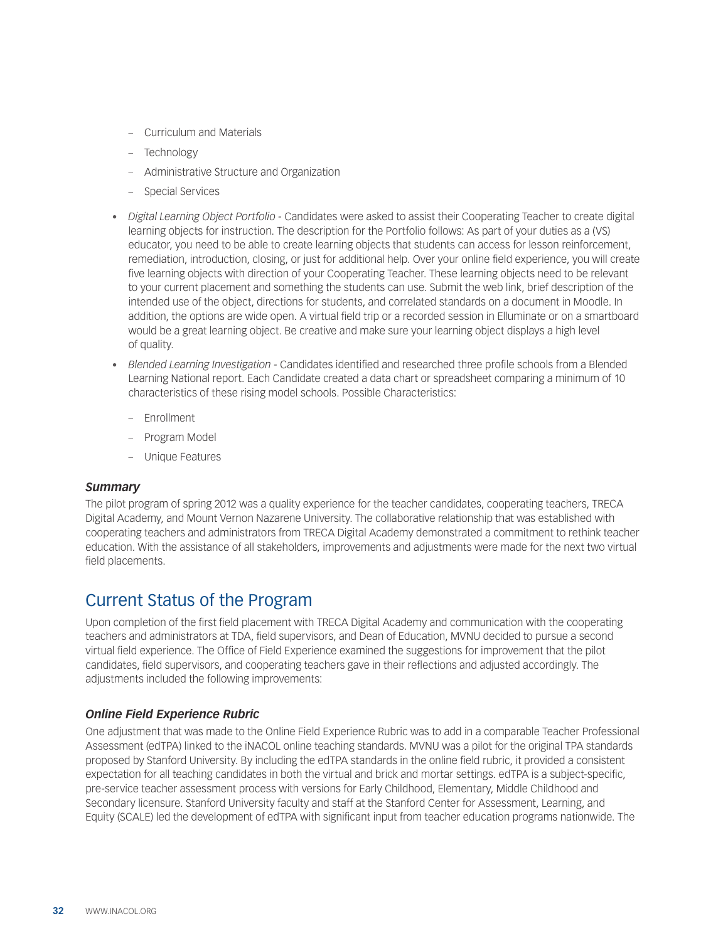- Curriculum and Materials
- Technology
- Administrative Structure and Organization
- Special Services
- • *Digital Learning Object Portfolio* Candidates were asked to assist their Cooperating Teacher to create digital learning objects for instruction. The description for the Portfolio follows: As part of your duties as a (VS) educator, you need to be able to create learning objects that students can access for lesson reinforcement, remediation, introduction, closing, or just for additional help. Over your online field experience, you will create five learning objects with direction of your Cooperating Teacher. These learning objects need to be relevant to your current placement and something the students can use. Submit the web link, brief description of the intended use of the object, directions for students, and correlated standards on a document in Moodle. In addition, the options are wide open. A virtual field trip or a recorded session in Elluminate or on a smartboard would be a great learning object. Be creative and make sure your learning object displays a high level of quality.
- • *Blended Learning Investigation* Candidates identified and researched three profile schools from a Blended Learning National report. Each Candidate created a data chart or spreadsheet comparing a minimum of 10 characteristics of these rising model schools. Possible Characteristics:
	- Enrollment
	- Program Model
	- Unique Features

#### *Summary*

The pilot program of spring 2012 was a quality experience for the teacher candidates, cooperating teachers, TRECA Digital Academy, and Mount Vernon Nazarene University. The collaborative relationship that was established with cooperating teachers and administrators from TRECA Digital Academy demonstrated a commitment to rethink teacher education. With the assistance of all stakeholders, improvements and adjustments were made for the next two virtual field placements.

### Current Status of the Program

Upon completion of the first field placement with TRECA Digital Academy and communication with the cooperating teachers and administrators at TDA, field supervisors, and Dean of Education, MVNU decided to pursue a second virtual field experience. The Office of Field Experience examined the suggestions for improvement that the pilot candidates, field supervisors, and cooperating teachers gave in their reflections and adjusted accordingly. The adjustments included the following improvements:

#### *Online Field Experience Rubric*

One adjustment that was made to the Online Field Experience Rubric was to add in a comparable Teacher Professional Assessment (edTPA) linked to the iNACOL online teaching standards. MVNU was a pilot for the original TPA standards proposed by Stanford University. By including the edTPA standards in the online field rubric, it provided a consistent expectation for all teaching candidates in both the virtual and brick and mortar settings. edTPA is a subject-specific, pre-service teacher assessment process with versions for Early Childhood, Elementary, Middle Childhood and Secondary licensure. Stanford University faculty and staff at the Stanford Center for Assessment, Learning, and Equity (SCALE) led the development of edTPA with significant input from teacher education programs nationwide. The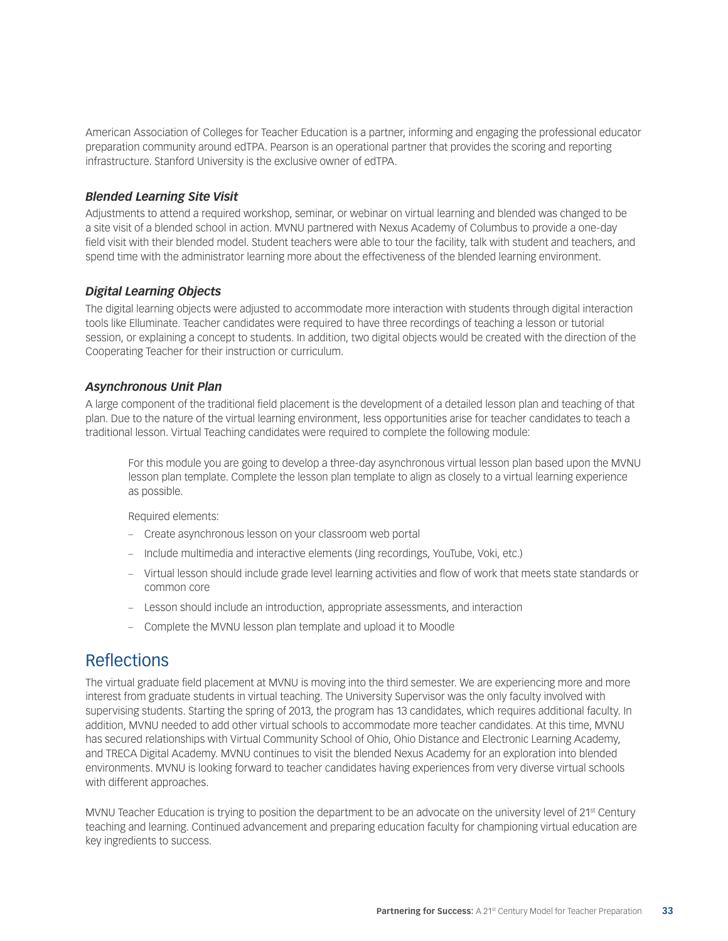American Association of Colleges for Teacher Education is a partner, informing and engaging the professional educator preparation community around edTPA. Pearson is an operational partner that provides the scoring and reporting infrastructure. Stanford University is the exclusive owner of edTPA.

#### *Blended Learning Site Visit*

Adjustments to attend a required workshop, seminar, or webinar on virtual learning and blended was changed to be a site visit of a blended school in action. MVNU partnered with Nexus Academy of Columbus to provide a one-day field visit with their blended model. Student teachers were able to tour the facility, talk with student and teachers, and spend time with the administrator learning more about the effectiveness of the blended learning environment.

#### *Digital Learning Objects*

The digital learning objects were adjusted to accommodate more interaction with students through digital interaction tools like Elluminate. Teacher candidates were required to have three recordings of teaching a lesson or tutorial session, or explaining a concept to students. In addition, two digital objects would be created with the direction of the Cooperating Teacher for their instruction or curriculum.

#### *Asynchronous Unit Plan*

A large component of the traditional field placement is the development of a detailed lesson plan and teaching of that plan. Due to the nature of the virtual learning environment, less opportunities arise for teacher candidates to teach a traditional lesson. Virtual Teaching candidates were required to complete the following module:

For this module you are going to develop a three-day asynchronous virtual lesson plan based upon the MVNU lesson plan template. Complete the lesson plan template to align as closely to a virtual learning experience as possible.

Required elements:

- Create asynchronous lesson on your classroom web portal
- Include multimedia and interactive elements (Jing recordings, YouTube, Voki, etc.)
- Virtual lesson should include grade level learning activities and flow of work that meets state standards or common core
- Lesson should include an introduction, appropriate assessments, and interaction
- Complete the MVNU lesson plan template and upload it to Moodle

### **Reflections**

The virtual graduate field placement at MVNU is moving into the third semester. We are experiencing more and more interest from graduate students in virtual teaching. The University Supervisor was the only faculty involved with supervising students. Starting the spring of 2013, the program has 13 candidates, which requires additional faculty. In addition, MVNU needed to add other virtual schools to accommodate more teacher candidates. At this time, MVNU has secured relationships with Virtual Community School of Ohio, Ohio Distance and Electronic Learning Academy, and TRECA Digital Academy. MVNU continues to visit the blended Nexus Academy for an exploration into blended environments. MVNU is looking forward to teacher candidates having experiences from very diverse virtual schools with different approaches.

MVNU Teacher Education is trying to position the department to be an advocate on the university level of 21<sup>st</sup> Century teaching and learning. Continued advancement and preparing education faculty for championing virtual education are key ingredients to success.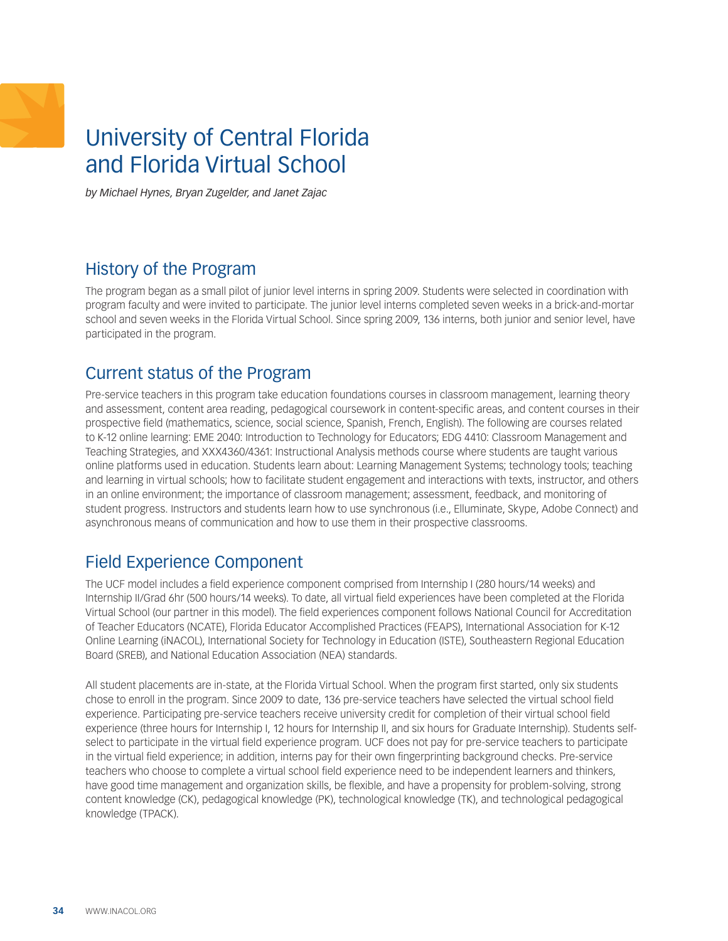## <span id="page-33-0"></span>University of Central Florida and Florida Virtual School

*by Michael Hynes, Bryan Zugelder, and Janet Zajac*

## History of the Program

The program began as a small pilot of junior level interns in spring 2009. Students were selected in coordination with program faculty and were invited to participate. The junior level interns completed seven weeks in a brick-and-mortar school and seven weeks in the Florida Virtual School. Since spring 2009, 136 interns, both junior and senior level, have participated in the program.

## Current status of the Program

Pre-service teachers in this program take education foundations courses in classroom management, learning theory and assessment, content area reading, pedagogical coursework in content-specific areas, and content courses in their prospective field (mathematics, science, social science, Spanish, French, English). The following are courses related to K-12 online learning: EME 2040: Introduction to Technology for Educators; EDG 4410: Classroom Management and Teaching Strategies, and XXX4360/4361: Instructional Analysis methods course where students are taught various online platforms used in education. Students learn about: Learning Management Systems; technology tools; teaching and learning in virtual schools; how to facilitate student engagement and interactions with texts, instructor, and others in an online environment; the importance of classroom management; assessment, feedback, and monitoring of student progress. Instructors and students learn how to use synchronous (i.e., Elluminate, Skype, Adobe Connect) and asynchronous means of communication and how to use them in their prospective classrooms.

## Field Experience Component

The UCF model includes a field experience component comprised from Internship I (280 hours/14 weeks) and Internship II/Grad 6hr (500 hours/14 weeks). To date, all virtual field experiences have been completed at the Florida Virtual School (our partner in this model). The field experiences component follows National Council for Accreditation of Teacher Educators (NCATE), Florida Educator Accomplished Practices (FEAPS), International Association for K-12 Online Learning (iNACOL), International Society for Technology in Education (ISTE), Southeastern Regional Education Board (SREB), and National Education Association (NEA) standards.

All student placements are in-state, at the Florida Virtual School. When the program first started, only six students chose to enroll in the program. Since 2009 to date, 136 pre-service teachers have selected the virtual school field experience. Participating pre-service teachers receive university credit for completion of their virtual school field experience (three hours for Internship I, 12 hours for Internship II, and six hours for Graduate Internship). Students selfselect to participate in the virtual field experience program. UCF does not pay for pre-service teachers to participate in the virtual field experience; in addition, interns pay for their own fingerprinting background checks. Pre-service teachers who choose to complete a virtual school field experience need to be independent learners and thinkers, have good time management and organization skills, be flexible, and have a propensity for problem-solving, strong content knowledge (CK), pedagogical knowledge (PK), technological knowledge (TK), and technological pedagogical knowledge (TPACK).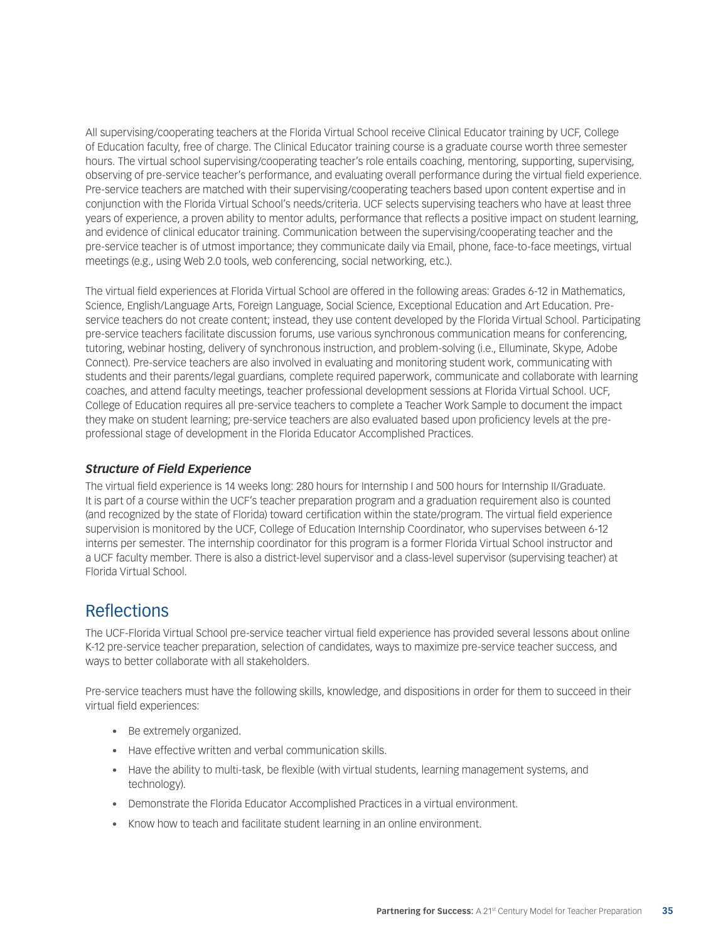All supervising/cooperating teachers at the Florida Virtual School receive Clinical Educator training by UCF, College of Education faculty, free of charge. The Clinical Educator training course is a graduate course worth three semester hours. The virtual school supervising/cooperating teacher's role entails coaching, mentoring, supporting, supervising, observing of pre-service teacher's performance, and evaluating overall performance during the virtual field experience. Pre-service teachers are matched with their supervising/cooperating teachers based upon content expertise and in conjunction with the Florida Virtual School's needs/criteria. UCF selects supervising teachers who have at least three years of experience, a proven ability to mentor adults, performance that reflects a positive impact on student learning, and evidence of clinical educator training. Communication between the supervising/cooperating teacher and the pre-service teacher is of utmost importance; they communicate daily via Email, phone, face-to-face meetings, virtual meetings (e.g., using Web 2.0 tools, web conferencing, social networking, etc.).

The virtual field experiences at Florida Virtual School are offered in the following areas: Grades 6-12 in Mathematics, Science, English/Language Arts, Foreign Language, Social Science, Exceptional Education and Art Education. Preservice teachers do not create content; instead, they use content developed by the Florida Virtual School. Participating pre-service teachers facilitate discussion forums, use various synchronous communication means for conferencing, tutoring, webinar hosting, delivery of synchronous instruction, and problem-solving (i.e., Elluminate, Skype, Adobe Connect). Pre-service teachers are also involved in evaluating and monitoring student work, communicating with students and their parents/legal guardians, complete required paperwork, communicate and collaborate with learning coaches, and attend faculty meetings, teacher professional development sessions at Florida Virtual School. UCF, College of Education requires all pre-service teachers to complete a Teacher Work Sample to document the impact they make on student learning; pre-service teachers are also evaluated based upon proficiency levels at the preprofessional stage of development in the Florida Educator Accomplished Practices.

#### *Structure of Field Experience*

The virtual field experience is 14 weeks long: 280 hours for Internship I and 500 hours for Internship II/Graduate. It is part of a course within the UCF's teacher preparation program and a graduation requirement also is counted (and recognized by the state of Florida) toward certification within the state/program. The virtual field experience supervision is monitored by the UCF, College of Education Internship Coordinator, who supervises between 6-12 interns per semester. The internship coordinator for this program is a former Florida Virtual School instructor and a UCF faculty member. There is also a district-level supervisor and a class-level supervisor (supervising teacher) at Florida Virtual School.

### **Reflections**

The UCF-Florida Virtual School pre-service teacher virtual field experience has provided several lessons about online K-12 pre-service teacher preparation, selection of candidates, ways to maximize pre-service teacher success, and ways to better collaborate with all stakeholders.

Pre-service teachers must have the following skills, knowledge, and dispositions in order for them to succeed in their virtual field experiences:

- • Be extremely organized.
- Have effective written and verbal communication skills.
- • Have the ability to multi-task, be flexible (with virtual students, learning management systems, and technology).
- Demonstrate the Florida Educator Accomplished Practices in a virtual environment.
- Know how to teach and facilitate student learning in an online environment.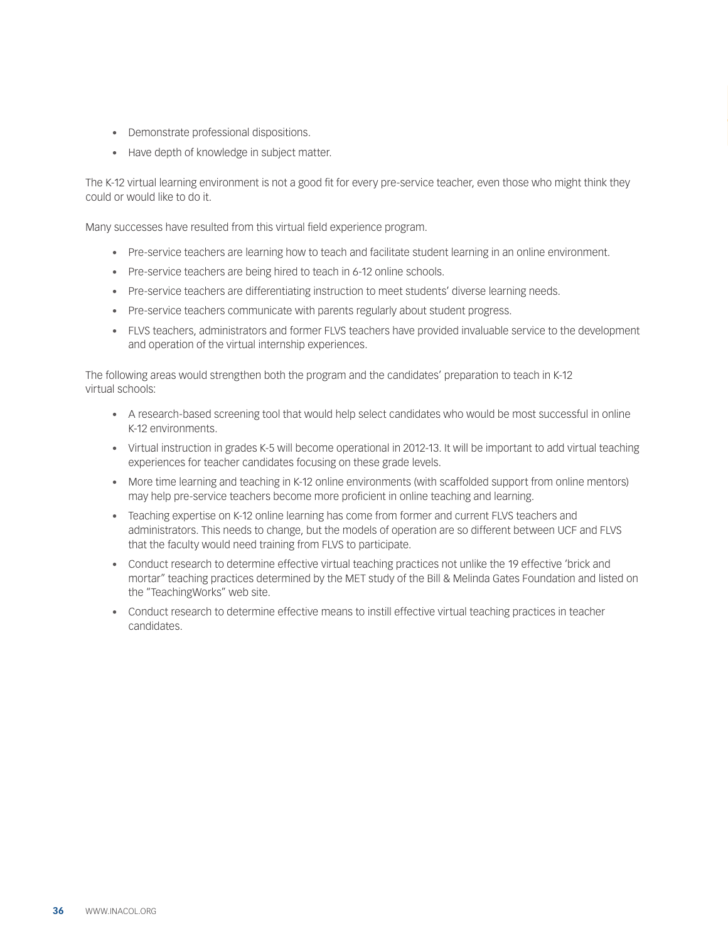- • Demonstrate professional dispositions.
- • Have depth of knowledge in subject matter.

The K-12 virtual learning environment is not a good fit for every pre-service teacher, even those who might think they could or would like to do it.

Many successes have resulted from this virtual field experience program.

- • Pre-service teachers are learning how to teach and facilitate student learning in an online environment.
- Pre-service teachers are being hired to teach in 6-12 online schools.
- • Pre-service teachers are differentiating instruction to meet students' diverse learning needs.
- Pre-service teachers communicate with parents regularly about student progress.
- • FLVS teachers, administrators and former FLVS teachers have provided invaluable service to the development and operation of the virtual internship experiences.

The following areas would strengthen both the program and the candidates' preparation to teach in K-12 virtual schools:

- • A research-based screening tool that would help select candidates who would be most successful in online K-12 environments.
- • Virtual instruction in grades K-5 will become operational in 2012-13. It will be important to add virtual teaching experiences for teacher candidates focusing on these grade levels.
- More time learning and teaching in K-12 online environments (with scaffolded support from online mentors) may help pre-service teachers become more proficient in online teaching and learning.
- Teaching expertise on K-12 online learning has come from former and current FLVS teachers and administrators. This needs to change, but the models of operation are so different between UCF and FLVS that the faculty would need training from FLVS to participate.
- • Conduct research to determine effective virtual teaching practices not unlike the 19 effective 'brick and mortar" teaching practices determined by the MET study of the Bill & Melinda Gates Foundation and listed on the "TeachingWorks" web site.
- • Conduct research to determine effective means to instill effective virtual teaching practices in teacher candidates.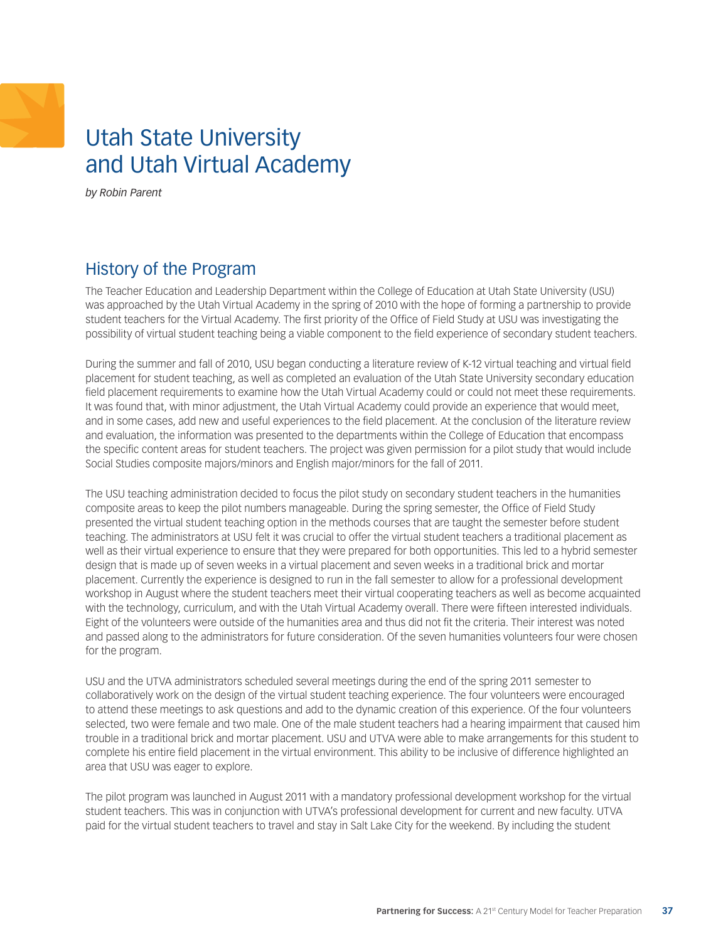## <span id="page-36-0"></span>Utah State University and Utah Virtual Academy

*by Robin Parent* 

## History of the Program

The Teacher Education and Leadership Department within the College of Education at Utah State University (USU) was approached by the Utah Virtual Academy in the spring of 2010 with the hope of forming a partnership to provide student teachers for the Virtual Academy. The first priority of the Office of Field Study at USU was investigating the possibility of virtual student teaching being a viable component to the field experience of secondary student teachers.

During the summer and fall of 2010, USU began conducting a literature review of K-12 virtual teaching and virtual field placement for student teaching, as well as completed an evaluation of the Utah State University secondary education field placement requirements to examine how the Utah Virtual Academy could or could not meet these requirements. It was found that, with minor adjustment, the Utah Virtual Academy could provide an experience that would meet, and in some cases, add new and useful experiences to the field placement. At the conclusion of the literature review and evaluation, the information was presented to the departments within the College of Education that encompass the specific content areas for student teachers. The project was given permission for a pilot study that would include Social Studies composite majors/minors and English major/minors for the fall of 2011.

The USU teaching administration decided to focus the pilot study on secondary student teachers in the humanities composite areas to keep the pilot numbers manageable. During the spring semester, the Office of Field Study presented the virtual student teaching option in the methods courses that are taught the semester before student teaching. The administrators at USU felt it was crucial to offer the virtual student teachers a traditional placement as well as their virtual experience to ensure that they were prepared for both opportunities. This led to a hybrid semester design that is made up of seven weeks in a virtual placement and seven weeks in a traditional brick and mortar placement. Currently the experience is designed to run in the fall semester to allow for a professional development workshop in August where the student teachers meet their virtual cooperating teachers as well as become acquainted with the technology, curriculum, and with the Utah Virtual Academy overall. There were fifteen interested individuals. Eight of the volunteers were outside of the humanities area and thus did not fit the criteria. Their interest was noted and passed along to the administrators for future consideration. Of the seven humanities volunteers four were chosen for the program.

USU and the UTVA administrators scheduled several meetings during the end of the spring 2011 semester to collaboratively work on the design of the virtual student teaching experience. The four volunteers were encouraged to attend these meetings to ask questions and add to the dynamic creation of this experience. Of the four volunteers selected, two were female and two male. One of the male student teachers had a hearing impairment that caused him trouble in a traditional brick and mortar placement. USU and UTVA were able to make arrangements for this student to complete his entire field placement in the virtual environment. This ability to be inclusive of difference highlighted an area that USU was eager to explore.

The pilot program was launched in August 2011 with a mandatory professional development workshop for the virtual student teachers. This was in conjunction with UTVA's professional development for current and new faculty. UTVA paid for the virtual student teachers to travel and stay in Salt Lake City for the weekend. By including the student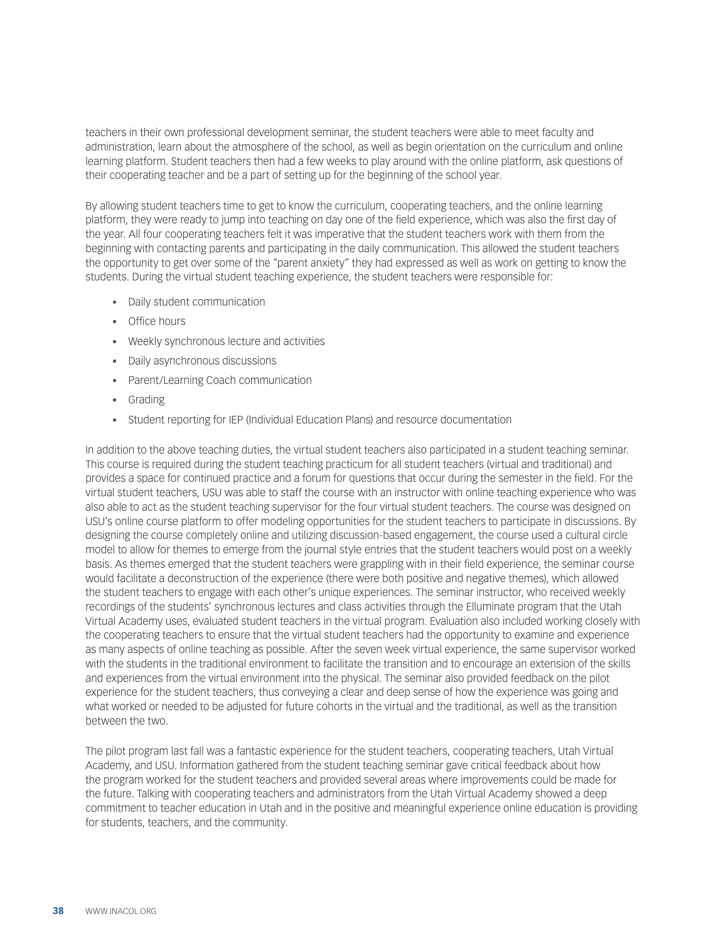teachers in their own professional development seminar, the student teachers were able to meet faculty and administration, learn about the atmosphere of the school, as well as begin orientation on the curriculum and online learning platform. Student teachers then had a few weeks to play around with the online platform, ask questions of their cooperating teacher and be a part of setting up for the beginning of the school year.

By allowing student teachers time to get to know the curriculum, cooperating teachers, and the online learning platform, they were ready to jump into teaching on day one of the field experience, which was also the first day of the year. All four cooperating teachers felt it was imperative that the student teachers work with them from the beginning with contacting parents and participating in the daily communication. This allowed the student teachers the opportunity to get over some of the "parent anxiety" they had expressed as well as work on getting to know the students. During the virtual student teaching experience, the student teachers were responsible for:

- • Daily student communication
- • Office hours
- • Weekly synchronous lecture and activities
- • Daily asynchronous discussions
- • Parent/Learning Coach communication
- • Grading
- Student reporting for IEP (Individual Education Plans) and resource documentation

In addition to the above teaching duties, the virtual student teachers also participated in a student teaching seminar. This course is required during the student teaching practicum for all student teachers (virtual and traditional) and provides a space for continued practice and a forum for questions that occur during the semester in the field. For the virtual student teachers, USU was able to staff the course with an instructor with online teaching experience who was also able to act as the student teaching supervisor for the four virtual student teachers. The course was designed on USU's online course platform to offer modeling opportunities for the student teachers to participate in discussions. By designing the course completely online and utilizing discussion-based engagement, the course used a cultural circle model to allow for themes to emerge from the journal style entries that the student teachers would post on a weekly basis. As themes emerged that the student teachers were grappling with in their field experience, the seminar course would facilitate a deconstruction of the experience (there were both positive and negative themes), which allowed the student teachers to engage with each other's unique experiences. The seminar instructor, who received weekly recordings of the students' synchronous lectures and class activities through the Elluminate program that the Utah Virtual Academy uses, evaluated student teachers in the virtual program. Evaluation also included working closely with the cooperating teachers to ensure that the virtual student teachers had the opportunity to examine and experience as many aspects of online teaching as possible. After the seven week virtual experience, the same supervisor worked with the students in the traditional environment to facilitate the transition and to encourage an extension of the skills and experiences from the virtual environment into the physical. The seminar also provided feedback on the pilot experience for the student teachers, thus conveying a clear and deep sense of how the experience was going and what worked or needed to be adjusted for future cohorts in the virtual and the traditional, as well as the transition between the two.

The pilot program last fall was a fantastic experience for the student teachers, cooperating teachers, Utah Virtual Academy, and USU. Information gathered from the student teaching seminar gave critical feedback about how the program worked for the student teachers and provided several areas where improvements could be made for the future. Talking with cooperating teachers and administrators from the Utah Virtual Academy showed a deep commitment to teacher education in Utah and in the positive and meaningful experience online education is providing for students, teachers, and the community.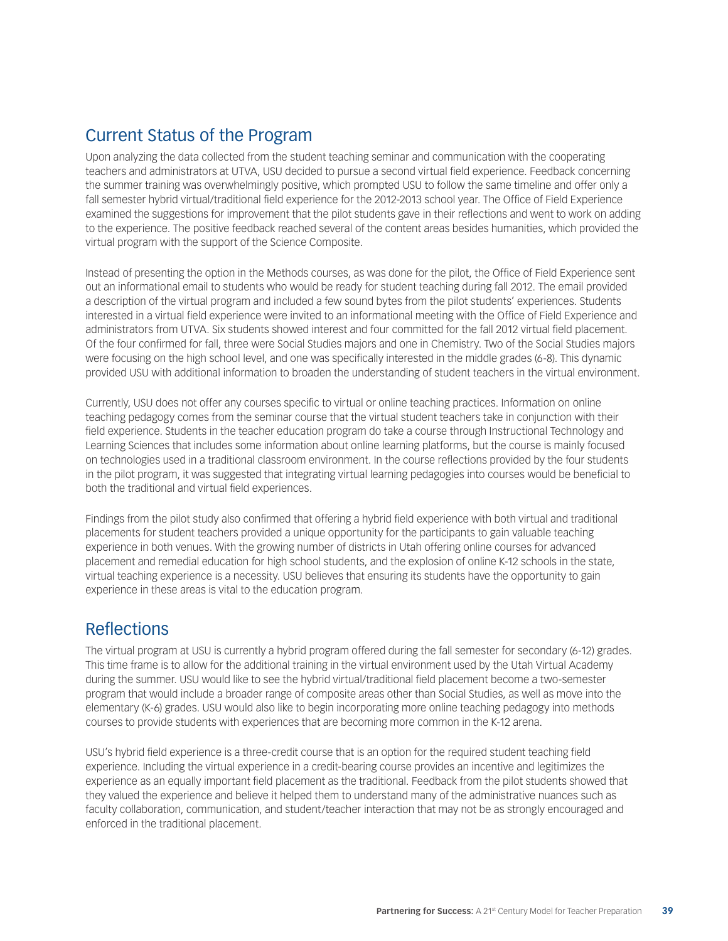## Current Status of the Program

Upon analyzing the data collected from the student teaching seminar and communication with the cooperating teachers and administrators at UTVA, USU decided to pursue a second virtual field experience. Feedback concerning the summer training was overwhelmingly positive, which prompted USU to follow the same timeline and offer only a fall semester hybrid virtual/traditional field experience for the 2012-2013 school year. The Office of Field Experience examined the suggestions for improvement that the pilot students gave in their reflections and went to work on adding to the experience. The positive feedback reached several of the content areas besides humanities, which provided the virtual program with the support of the Science Composite.

Instead of presenting the option in the Methods courses, as was done for the pilot, the Office of Field Experience sent out an informational email to students who would be ready for student teaching during fall 2012. The email provided a description of the virtual program and included a few sound bytes from the pilot students' experiences. Students interested in a virtual field experience were invited to an informational meeting with the Office of Field Experience and administrators from UTVA. Six students showed interest and four committed for the fall 2012 virtual field placement. Of the four confirmed for fall, three were Social Studies majors and one in Chemistry. Two of the Social Studies majors were focusing on the high school level, and one was specifically interested in the middle grades (6-8). This dynamic provided USU with additional information to broaden the understanding of student teachers in the virtual environment.

Currently, USU does not offer any courses specific to virtual or online teaching practices. Information on online teaching pedagogy comes from the seminar course that the virtual student teachers take in conjunction with their field experience. Students in the teacher education program do take a course through Instructional Technology and Learning Sciences that includes some information about online learning platforms, but the course is mainly focused on technologies used in a traditional classroom environment. In the course reflections provided by the four students in the pilot program, it was suggested that integrating virtual learning pedagogies into courses would be beneficial to both the traditional and virtual field experiences.

Findings from the pilot study also confirmed that offering a hybrid field experience with both virtual and traditional placements for student teachers provided a unique opportunity for the participants to gain valuable teaching experience in both venues. With the growing number of districts in Utah offering online courses for advanced placement and remedial education for high school students, and the explosion of online K-12 schools in the state, virtual teaching experience is a necessity. USU believes that ensuring its students have the opportunity to gain experience in these areas is vital to the education program.

## Reflections

The virtual program at USU is currently a hybrid program offered during the fall semester for secondary (6-12) grades. This time frame is to allow for the additional training in the virtual environment used by the Utah Virtual Academy during the summer. USU would like to see the hybrid virtual/traditional field placement become a two-semester program that would include a broader range of composite areas other than Social Studies, as well as move into the elementary (K-6) grades. USU would also like to begin incorporating more online teaching pedagogy into methods courses to provide students with experiences that are becoming more common in the K-12 arena.

USU's hybrid field experience is a three-credit course that is an option for the required student teaching field experience. Including the virtual experience in a credit-bearing course provides an incentive and legitimizes the experience as an equally important field placement as the traditional. Feedback from the pilot students showed that they valued the experience and believe it helped them to understand many of the administrative nuances such as faculty collaboration, communication, and student/teacher interaction that may not be as strongly encouraged and enforced in the traditional placement.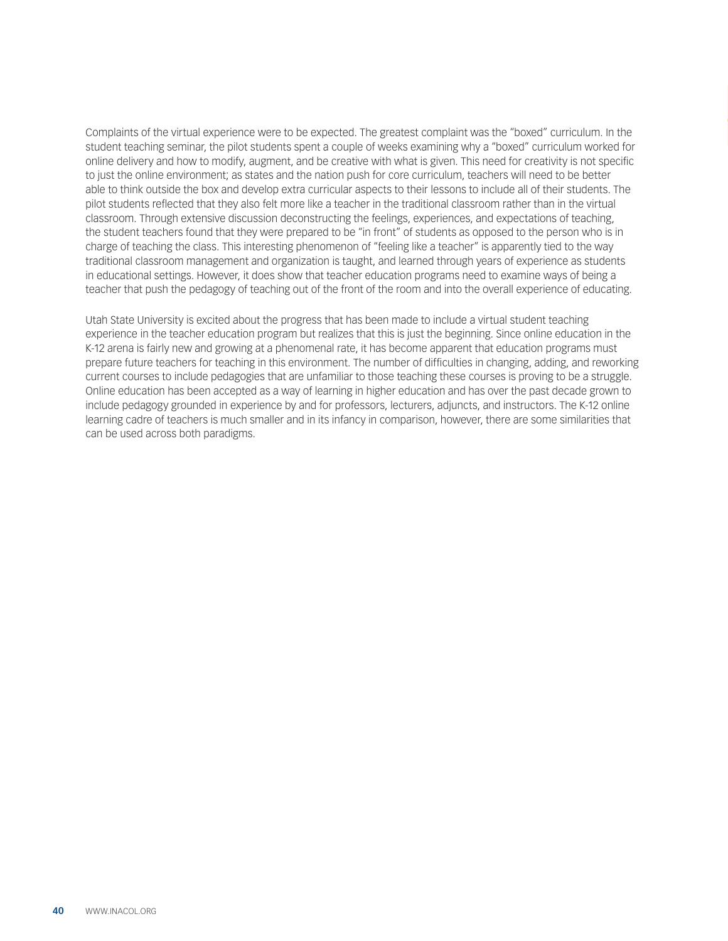Complaints of the virtual experience were to be expected. The greatest complaint was the "boxed" curriculum. In the student teaching seminar, the pilot students spent a couple of weeks examining why a "boxed" curriculum worked for online delivery and how to modify, augment, and be creative with what is given. This need for creativity is not specific to just the online environment; as states and the nation push for core curriculum, teachers will need to be better able to think outside the box and develop extra curricular aspects to their lessons to include all of their students. The pilot students reflected that they also felt more like a teacher in the traditional classroom rather than in the virtual classroom. Through extensive discussion deconstructing the feelings, experiences, and expectations of teaching, the student teachers found that they were prepared to be "in front" of students as opposed to the person who is in charge of teaching the class. This interesting phenomenon of "feeling like a teacher" is apparently tied to the way traditional classroom management and organization is taught, and learned through years of experience as students in educational settings. However, it does show that teacher education programs need to examine ways of being a teacher that push the pedagogy of teaching out of the front of the room and into the overall experience of educating.

Utah State University is excited about the progress that has been made to include a virtual student teaching experience in the teacher education program but realizes that this is just the beginning. Since online education in the K-12 arena is fairly new and growing at a phenomenal rate, it has become apparent that education programs must prepare future teachers for teaching in this environment. The number of difficulties in changing, adding, and reworking current courses to include pedagogies that are unfamiliar to those teaching these courses is proving to be a struggle. Online education has been accepted as a way of learning in higher education and has over the past decade grown to include pedagogy grounded in experience by and for professors, lecturers, adjuncts, and instructors. The K-12 online learning cadre of teachers is much smaller and in its infancy in comparison, however, there are some similarities that can be used across both paradigms.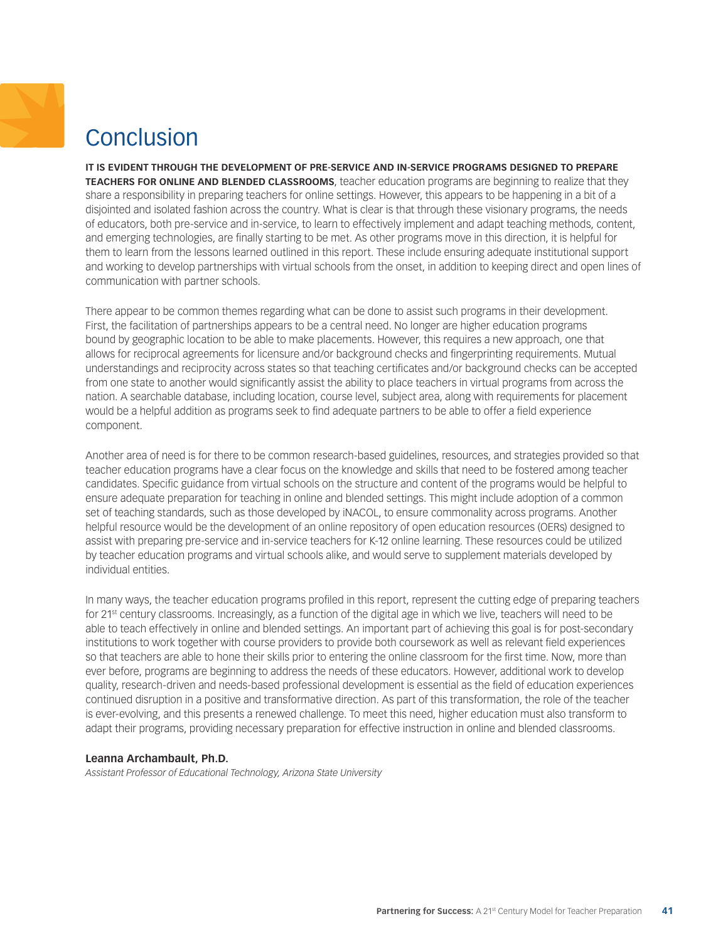# <span id="page-40-0"></span>Conclusion

**IT IS EVIDENT THROUGH THE DEVELOPMENT OF PRE-SERVICE AND IN-SERVICE PROGRAMS DESIGNED TO PREPARE TEACHERS FOR ONLINE AND BLENDED CLASSROOMS**, teacher education programs are beginning to realize that they share a responsibility in preparing teachers for online settings. However, this appears to be happening in a bit of a disjointed and isolated fashion across the country. What is clear is that through these visionary programs, the needs of educators, both pre-service and in-service, to learn to effectively implement and adapt teaching methods, content, and emerging technologies, are finally starting to be met. As other programs move in this direction, it is helpful for them to learn from the lessons learned outlined in this report. These include ensuring adequate institutional support and working to develop partnerships with virtual schools from the onset, in addition to keeping direct and open lines of communication with partner schools.

There appear to be common themes regarding what can be done to assist such programs in their development. First, the facilitation of partnerships appears to be a central need. No longer are higher education programs bound by geographic location to be able to make placements. However, this requires a new approach, one that allows for reciprocal agreements for licensure and/or background checks and fingerprinting requirements. Mutual understandings and reciprocity across states so that teaching certificates and/or background checks can be accepted from one state to another would significantly assist the ability to place teachers in virtual programs from across the nation. A searchable database, including location, course level, subject area, along with requirements for placement would be a helpful addition as programs seek to find adequate partners to be able to offer a field experience component.

Another area of need is for there to be common research-based guidelines, resources, and strategies provided so that teacher education programs have a clear focus on the knowledge and skills that need to be fostered among teacher candidates. Specific guidance from virtual schools on the structure and content of the programs would be helpful to ensure adequate preparation for teaching in online and blended settings. This might include adoption of a common set of teaching standards, such as those developed by iNACOL, to ensure commonality across programs. Another helpful resource would be the development of an online repository of open education resources (OERs) designed to assist with preparing pre-service and in-service teachers for K-12 online learning. These resources could be utilized by teacher education programs and virtual schools alike, and would serve to supplement materials developed by individual entities.

In many ways, the teacher education programs profiled in this report, represent the cutting edge of preparing teachers for 21st century classrooms. Increasingly, as a function of the digital age in which we live, teachers will need to be able to teach effectively in online and blended settings. An important part of achieving this goal is for post-secondary institutions to work together with course providers to provide both coursework as well as relevant field experiences so that teachers are able to hone their skills prior to entering the online classroom for the first time. Now, more than ever before, programs are beginning to address the needs of these educators. However, additional work to develop quality, research-driven and needs-based professional development is essential as the field of education experiences continued disruption in a positive and transformative direction. As part of this transformation, the role of the teacher is ever-evolving, and this presents a renewed challenge. To meet this need, higher education must also transform to adapt their programs, providing necessary preparation for effective instruction in online and blended classrooms.

#### **Leanna Archambault, Ph.D.**

*Assistant Professor of Educational Technology, Arizona State University*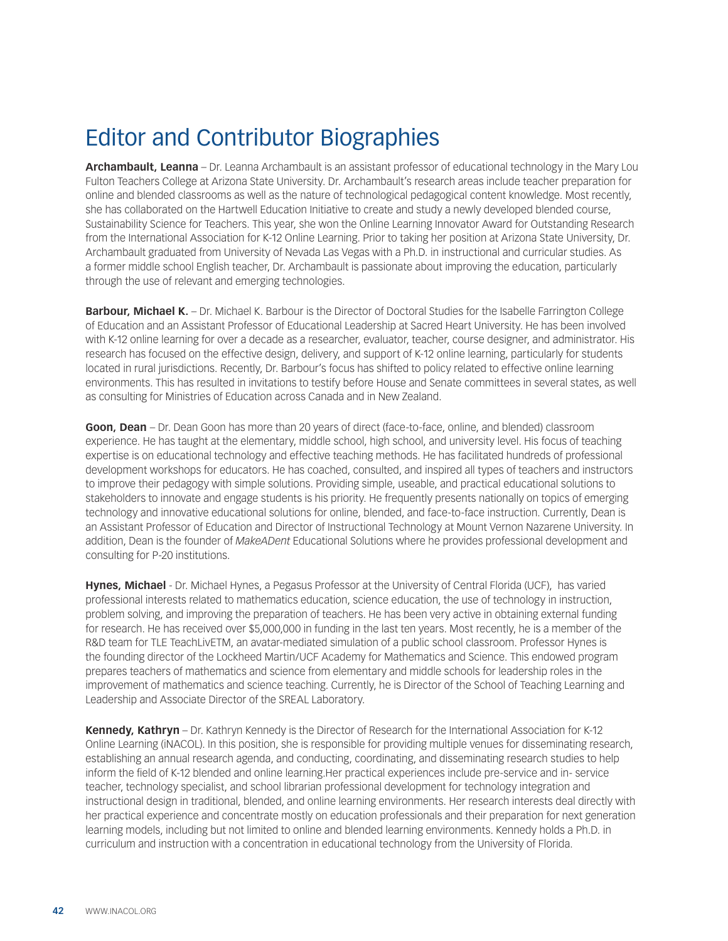## <span id="page-41-0"></span>Editor and Contributor Biographies

**Archambault, Leanna** – Dr. Leanna Archambault is an assistant professor of educational technology in the Mary Lou Fulton Teachers College at Arizona State University. Dr. Archambault's research areas include teacher preparation for online and blended classrooms as well as the nature of technological pedagogical content knowledge. Most recently, she has collaborated on the Hartwell Education Initiative to create and study a newly developed blended course, Sustainability Science for Teachers. This year, she won the Online Learning Innovator Award for Outstanding Research from the International Association for K-12 Online Learning. Prior to taking her position at Arizona State University, Dr. Archambault graduated from University of Nevada Las Vegas with a Ph.D. in instructional and curricular studies. As a former middle school English teacher, Dr. Archambault is passionate about improving the education, particularly through the use of relevant and emerging technologies.

**Barbour, Michael K.** – Dr. Michael K. Barbour is the Director of Doctoral Studies for the Isabelle Farrington College of Education and an Assistant Professor of Educational Leadership at Sacred Heart University. He has been involved with K-12 online learning for over a decade as a researcher, evaluator, teacher, course designer, and administrator. His research has focused on the effective design, delivery, and support of K-12 online learning, particularly for students located in rural jurisdictions. Recently, Dr. Barbour's focus has shifted to policy related to effective online learning environments. This has resulted in invitations to testify before House and Senate committees in several states, as well as consulting for Ministries of Education across Canada and in New Zealand.

**Goon, Dean** – Dr. Dean Goon has more than 20 years of direct (face-to-face, online, and blended) classroom experience. He has taught at the elementary, middle school, high school, and university level. His focus of teaching expertise is on educational technology and effective teaching methods. He has facilitated hundreds of professional development workshops for educators. He has coached, consulted, and inspired all types of teachers and instructors to improve their pedagogy with simple solutions. Providing simple, useable, and practical educational solutions to stakeholders to innovate and engage students is his priority. He frequently presents nationally on topics of emerging technology and innovative educational solutions for online, blended, and face-to-face instruction. Currently, Dean is an Assistant Professor of Education and Director of Instructional Technology at Mount Vernon Nazarene University. In addition, Dean is the founder of *MakeADent* Educational Solutions where he provides professional development and consulting for P-20 institutions.

**Hynes, Michael** - Dr. Michael Hynes, a Pegasus Professor at the University of Central Florida (UCF), has varied professional interests related to mathematics education, science education, the use of technology in instruction, problem solving, and improving the preparation of teachers. He has been very active in obtaining external funding for research. He has received over \$5,000,000 in funding in the last ten years. Most recently, he is a member of the R&D team for TLE TeachLivETM, an avatar-mediated simulation of a public school classroom. Professor Hynes is the founding director of the Lockheed Martin/UCF Academy for Mathematics and Science. This endowed program prepares teachers of mathematics and science from elementary and middle schools for leadership roles in the improvement of mathematics and science teaching. Currently, he is Director of the School of Teaching Learning and Leadership and Associate Director of the SREAL Laboratory.

**Kennedy, Kathryn** – Dr. Kathryn Kennedy is the Director of Research for the International Association for K-12 Online Learning (iNACOL). In this position, she is responsible for providing multiple venues for disseminating research, establishing an annual research agenda, and conducting, coordinating, and disseminating research studies to help inform the field of K-12 blended and online learning.Her practical experiences include pre-service and in- service teacher, technology specialist, and school librarian professional development for technology integration and instructional design in traditional, blended, and online learning environments. Her research interests deal directly with her practical experience and concentrate mostly on education professionals and their preparation for next generation learning models, including but not limited to online and blended learning environments. Kennedy holds a Ph.D. in curriculum and instruction with a concentration in educational technology from the University of Florida.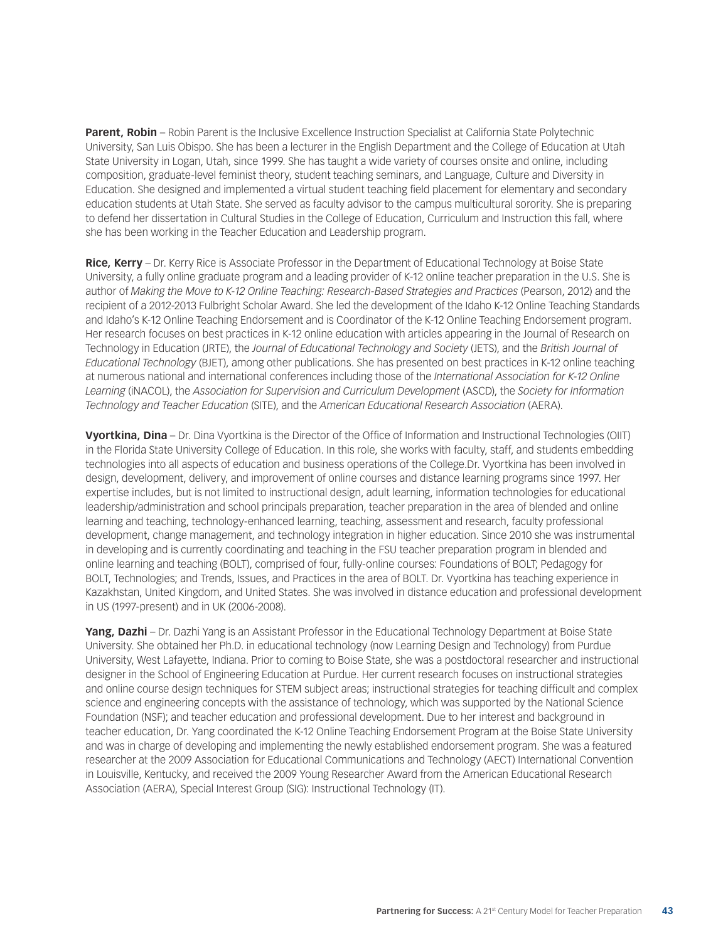**Parent, Robin** – Robin Parent is the Inclusive Excellence Instruction Specialist at California State Polytechnic University, San Luis Obispo. She has been a lecturer in the English Department and the College of Education at Utah State University in Logan, Utah, since 1999. She has taught a wide variety of courses onsite and online, including composition, graduate-level feminist theory, student teaching seminars, and Language, Culture and Diversity in Education. She designed and implemented a virtual student teaching field placement for elementary and secondary education students at Utah State. She served as faculty advisor to the campus multicultural sorority. She is preparing to defend her dissertation in Cultural Studies in the College of Education, Curriculum and Instruction this fall, where she has been working in the Teacher Education and Leadership program.

**Rice, Kerry** – Dr. Kerry Rice is Associate Professor in the Department of Educational Technology at Boise State University, a fully online graduate program and a leading provider of K-12 online teacher preparation in the U.S. She is author of *Making the Move to K-12 Online Teaching: Research-Based Strategies and Practices* (Pearson, 2012) and the recipient of a 2012-2013 Fulbright Scholar Award. She led the development of the Idaho K-12 Online Teaching Standards and Idaho's K-12 Online Teaching Endorsement and is Coordinator of the K-12 Online Teaching Endorsement program. Her research focuses on best practices in K-12 online education with articles appearing in the Journal of Research on Technology in Education (JRTE), the *Journal of Educational Technology and Society* (JETS), and the *British Journal of Educational Technology* (BJET), among other publications. She has presented on best practices in K-12 online teaching at numerous national and international conferences including those of the *International Association for K-12 Online Learning* (iNACOL), the *Association for Supervision and Curriculum Development* (ASCD), the *Society for Information Technology and Teacher Education* (SITE), and the *American Educational Research Association* (AERA).

**Vyortkina, Dina** – Dr. Dina Vyortkina is the Director of the Office of Information and Instructional Technologies (OIIT) in the Florida State University College of Education. In this role, she works with faculty, staff, and students embedding technologies into all aspects of education and business operations of the College.Dr. Vyortkina has been involved in design, development, delivery, and improvement of online courses and distance learning programs since 1997. Her expertise includes, but is not limited to instructional design, adult learning, information technologies for educational leadership/administration and school principals preparation, teacher preparation in the area of blended and online learning and teaching, technology-enhanced learning, teaching, assessment and research, faculty professional development, change management, and technology integration in higher education. Since 2010 she was instrumental in developing and is currently coordinating and teaching in the FSU teacher preparation program in blended and online learning and teaching (BOLT), comprised of four, fully-online courses: Foundations of BOLT; Pedagogy for BOLT, Technologies; and Trends, Issues, and Practices in the area of BOLT. Dr. Vyortkina has teaching experience in Kazakhstan, United Kingdom, and United States. She was involved in distance education and professional development in US (1997-present) and in UK (2006-2008).

**Yang, Dazhi** – Dr. Dazhi Yang is an Assistant Professor in the Educational Technology Department at Boise State University. She obtained her Ph.D. in educational technology (now Learning Design and Technology) from Purdue University, West Lafayette, Indiana. Prior to coming to Boise State, she was a postdoctoral researcher and instructional designer in the School of Engineering Education at Purdue. Her current research focuses on instructional strategies and online course design techniques for STEM subject areas; instructional strategies for teaching difficult and complex science and engineering concepts with the assistance of technology, which was supported by the National Science Foundation (NSF); and teacher education and professional development. Due to her interest and background in teacher education, Dr. Yang coordinated the K-12 Online Teaching Endorsement Program at the Boise State University and was in charge of developing and implementing the newly established endorsement program. She was a featured researcher at the 2009 Association for Educational Communications and Technology (AECT) International Convention in Louisville, Kentucky, and received the 2009 Young Researcher Award from the American Educational Research Association (AERA), Special Interest Group (SIG): Instructional Technology (IT).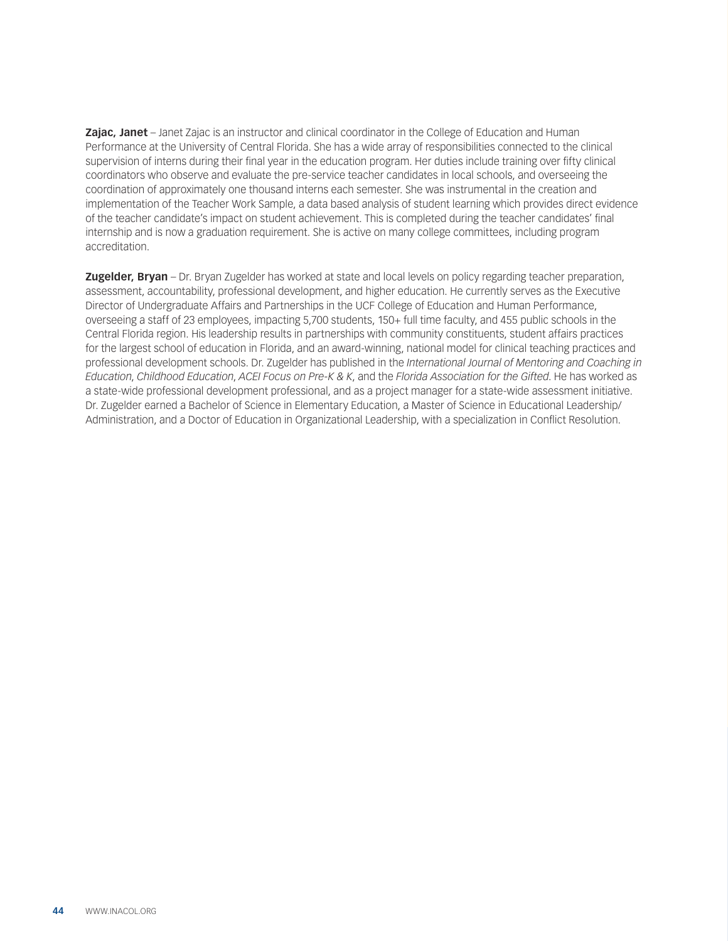**Zajac, Janet** – Janet Zajac is an instructor and clinical coordinator in the College of Education and Human Performance at the University of Central Florida. She has a wide array of responsibilities connected to the clinical supervision of interns during their final year in the education program. Her duties include training over fifty clinical coordinators who observe and evaluate the pre-service teacher candidates in local schools, and overseeing the coordination of approximately one thousand interns each semester. She was instrumental in the creation and implementation of the Teacher Work Sample, a data based analysis of student learning which provides direct evidence of the teacher candidate's impact on student achievement. This is completed during the teacher candidates' final internship and is now a graduation requirement. She is active on many college committees, including program accreditation.

**Zugelder, Bryan** – Dr. Bryan Zugelder has worked at state and local levels on policy regarding teacher preparation, assessment, accountability, professional development, and higher education. He currently serves as the Executive Director of Undergraduate Affairs and Partnerships in the UCF College of Education and Human Performance, overseeing a staff of 23 employees, impacting 5,700 students, 150+ full time faculty, and 455 public schools in the Central Florida region. His leadership results in partnerships with community constituents, student affairs practices for the largest school of education in Florida, and an award-winning, national model for clinical teaching practices and professional development schools. Dr. Zugelder has published in the *International Journal of Mentoring and Coaching in Education*, *Childhood Education*, *ACEI Focus on Pre-K & K*, and the *Florida Association for the Gifted*. He has worked as a state-wide professional development professional, and as a project manager for a state-wide assessment initiative. Dr. Zugelder earned a Bachelor of Science in Elementary Education, a Master of Science in Educational Leadership/ Administration, and a Doctor of Education in Organizational Leadership, with a specialization in Conflict Resolution.